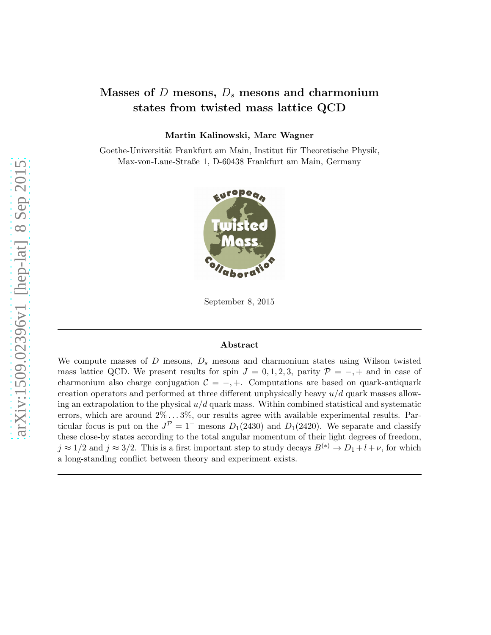# Masses of  $D$  mesons,  $D_s$  mesons and charmonium states from twisted mass lattice QCD

Martin Kalinowski, Marc Wagner

Goethe-Universität Frankfurt am Main, Institut für Theoretische Physik, Max-von-Laue-Straße 1, D-60438 Frankfurt am Main, Germany



September 8, 2015

#### Abstract

We compute masses of  $D$  mesons,  $D_s$  mesons and charmonium states using Wilson twisted mass lattice QCD. We present results for spin  $J = 0, 1, 2, 3$ , parity  $\mathcal{P} = -$ , + and in case of charmonium also charge conjugation  $C = -, +$ . Computations are based on quark-antiquark creation operators and performed at three different unphysically heavy  $u/d$  quark masses allowing an extrapolation to the physical  $u/d$  quark mass. Within combined statistical and systematic errors, which are around  $2\% \ldots 3\%$ , our results agree with available experimental results. Particular focus is put on the  $J^{\mathcal{P}} = 1^+$  mesons  $D_1(2430)$  and  $D_1(2420)$ . We separate and classify these close-by states according to the total angular momentum of their light degrees of freedom,  $j \approx 1/2$  and  $j \approx 3/2$ . This is a first important step to study decays  $B^{(*)} \to D_1 + l + \nu$ , for which a long-standing conflict between theory and experiment exists.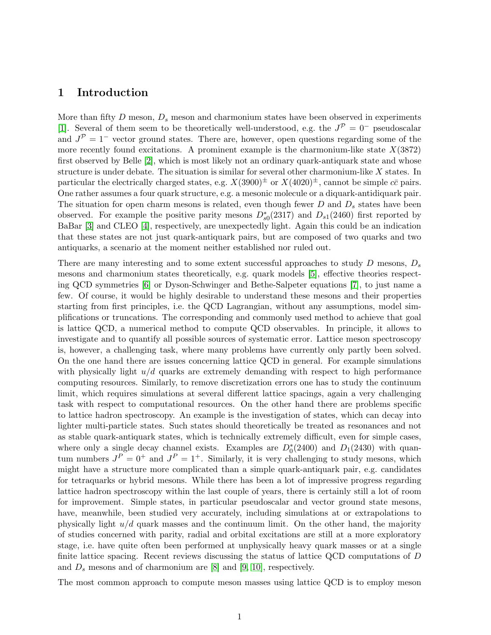# 1 Introduction

More than fifty  $D$  meson,  $D_s$  meson and charmonium states have been observed in experiments [\[1\]](#page-37-0). Several of them seem to be theoretically well-understood, e.g. the  $J^{\mathcal{P}}=0^-$  pseudoscalar and  $J^{\mathcal{P}} = 1^-$  vector ground states. There are, however, open questions regarding some of the more recently found excitations. A prominent example is the charmonium-like state  $X(3872)$ first observed by Belle [\[2\]](#page-37-1), which is most likely not an ordinary quark-antiquark state and whose structure is under debate. The situation is similar for several other charmonium-like X states. In particular the electrically charged states, e.g.  $X(3900)^{\pm}$  or  $X(4020)^{\pm}$ , cannot be simple  $c\bar{c}$  pairs. One rather assumes a four quark structure, e.g. a mesonic molecule or a diquark-antidiquark pair. The situation for open charm mesons is related, even though fewer  $D$  and  $D<sub>s</sub>$  states have been observed. For example the positive parity mesons  $D_{s0}^*(2317)$  and  $D_{s1}(2460)$  first reported by BaBar [\[3\]](#page-37-2) and CLEO [\[4\]](#page-37-3), respectively, are unexpectedly light. Again this could be an indication that these states are not just quark-antiquark pairs, but are composed of two quarks and two antiquarks, a scenario at the moment neither established nor ruled out.

There are many interesting and to some extent successful approaches to study  $D$  mesons,  $D_s$ mesons and charmonium states theoretically, e.g. quark models [\[5\]](#page-37-4), effective theories respecting QCD symmetries [\[6\]](#page-37-5) or Dyson-Schwinger and Bethe-Salpeter equations [\[7\]](#page-37-6), to just name a few. Of course, it would be highly desirable to understand these mesons and their properties starting from first principles, i.e. the QCD Lagrangian, without any assumptions, model simplifications or truncations. The corresponding and commonly used method to achieve that goal is lattice QCD, a numerical method to compute QCD observables. In principle, it allows to investigate and to quantify all possible sources of systematic error. Lattice meson spectroscopy is, however, a challenging task, where many problems have currently only partly been solved. On the one hand there are issues concerning lattice QCD in general. For example simulations with physically light  $u/d$  quarks are extremely demanding with respect to high performance computing resources. Similarly, to remove discretization errors one has to study the continuum limit, which requires simulations at several different lattice spacings, again a very challenging task with respect to computational resources. On the other hand there are problems specific to lattice hadron spectroscopy. An example is the investigation of states, which can decay into lighter multi-particle states. Such states should theoretically be treated as resonances and not as stable quark-antiquark states, which is technically extremely difficult, even for simple cases, where only a single decay channel exists. Examples are  $D_0^*(2400)$  and  $D_1(2430)$  with quan-0 tum numbers  $J^P = 0^+$  and  $J^P = 1^+$ . Similarly, it is very challenging to study mesons, which might have a structure more complicated than a simple quark-antiquark pair, e.g. candidates for tetraquarks or hybrid mesons. While there has been a lot of impressive progress regarding lattice hadron spectroscopy within the last couple of years, there is certainly still a lot of room for improvement. Simple states, in particular pseudoscalar and vector ground state mesons, have, meanwhile, been studied very accurately, including simulations at or extrapolations to physically light  $u/d$  quark masses and the continuum limit. On the other hand, the majority of studies concerned with parity, radial and orbital excitations are still at a more exploratory stage, i.e. have quite often been performed at unphysically heavy quark masses or at a single finite lattice spacing. Recent reviews discussing the status of lattice QCD computations of D and  $D_s$  mesons and of charmonium are [\[8\]](#page-37-7) and [\[9,](#page-37-8) [10\]](#page-37-9), respectively.

The most common approach to compute meson masses using lattice QCD is to employ meson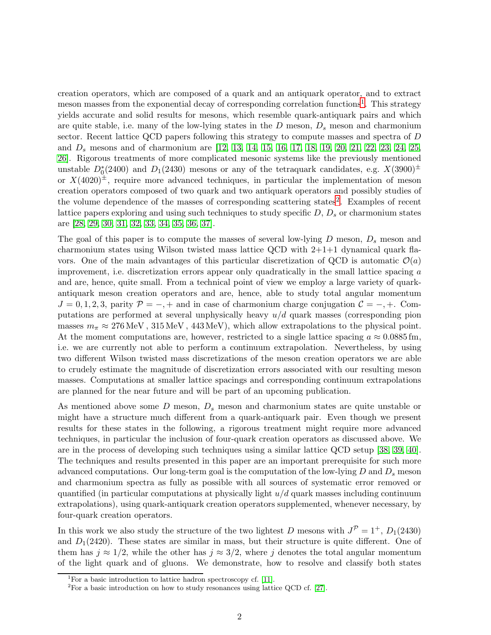creation operators, which are composed of a quark and an antiquark operator, and to extract meson masses from the exponential decay of corresponding correlation functions<sup>[1](#page-2-0)</sup>. This strategy yields accurate and solid results for mesons, which resemble quark-antiquark pairs and which are quite stable, i.e. many of the low-lying states in the  $D$  meson,  $D_s$  meson and charmonium sector. Recent lattice QCD papers following this strategy to compute masses and spectra of D and  $D_s$  mesons and of charmonium are [\[12,](#page-37-10) [13,](#page-37-11) [14,](#page-37-12) [15,](#page-37-13) [16,](#page-38-0) [17,](#page-38-1) [18,](#page-38-2) [19,](#page-38-3) [20,](#page-38-4) [21,](#page-38-5) [22,](#page-38-6) [23,](#page-38-7) [24,](#page-38-8) [25,](#page-38-9) [26\]](#page-38-10). Rigorous treatments of more complicated mesonic systems like the previously mentioned unstable  $D_0^*(2400)$  and  $D_1(2430)$  mesons or any of the tetraquark candidates, e.g.  $X(3900)^\pm$ or  $X(4020)^{\pm}$ , require more advanced techniques, in particular the implementation of meson creation operators composed of two quark and two antiquark operators and possibly studies of the volume dependence of the masses of corresponding scattering states<sup>[2](#page-2-1)</sup>. Examples of recent lattice papers exploring and using such techniques to study specific  $D, D_s$  or charmonium states are [\[28,](#page-38-11) [29,](#page-38-12) [30,](#page-38-13) [31,](#page-38-14) [32,](#page-39-0) [33,](#page-39-1) [34,](#page-39-2) [35,](#page-39-3) [36,](#page-39-4) [37\]](#page-39-5).

The goal of this paper is to compute the masses of several low-lying  $D$  meson,  $D_s$  meson and charmonium states using Wilson twisted mass lattice QCD with  $2+1+1$  dynamical quark flavors. One of the main advantages of this particular discretization of QCD is automatic  $\mathcal{O}(a)$ improvement, i.e. discretization errors appear only quadratically in the small lattice spacing  $\alpha$ and are, hence, quite small. From a technical point of view we employ a large variety of quarkantiquark meson creation operators and are, hence, able to study total angular momentum  $J = 0, 1, 2, 3$ , parity  $\mathcal{P} = -, +$  and in case of charmonium charge conjugation  $\mathcal{C} = -, +$ . Computations are performed at several unphysically heavy  $u/d$  quark masses (corresponding pion masses  $m_{\pi} \approx 276 \,\text{MeV}$ ,  $315 \,\text{MeV}$ ,  $443 \,\text{MeV}$ ), which allow extrapolations to the physical point. At the moment computations are, however, restricted to a single lattice spacing  $a \approx 0.0885$  fm, i.e. we are currently not able to perform a continuum extrapolation. Nevertheless, by using two different Wilson twisted mass discretizations of the meson creation operators we are able to crudely estimate the magnitude of discretization errors associated with our resulting meson masses. Computations at smaller lattice spacings and corresponding continuum extrapolations are planned for the near future and will be part of an upcoming publication.

As mentioned above some  $D$  meson,  $D_s$  meson and charmonium states are quite unstable or might have a structure much different from a quark-antiquark pair. Even though we present results for these states in the following, a rigorous treatment might require more advanced techniques, in particular the inclusion of four-quark creation operators as discussed above. We are in the process of developing such techniques using a similar lattice QCD setup [\[38,](#page-39-6) [39,](#page-39-7) [40\]](#page-39-8). The techniques and results presented in this paper are an important prerequisite for such more advanced computations. Our long-term goal is the computation of the low-lying  $D$  and  $D_s$  meson and charmonium spectra as fully as possible with all sources of systematic error removed or quantified (in particular computations at physically light  $u/d$  quark masses including continuum extrapolations), using quark-antiquark creation operators supplemented, whenever necessary, by four-quark creation operators.

In this work we also study the structure of the two lightest D mesons with  $J^{\mathcal{P}} = 1^+$ ,  $D_1(2430)$ and  $D_1(2420)$ . These states are similar in mass, but their structure is quite different. One of them has  $j \approx 1/2$ , while the other has  $j \approx 3/2$ , where j denotes the total angular momentum of the light quark and of gluons. We demonstrate, how to resolve and classify both states

<sup>&</sup>lt;sup>1</sup>For a basic introduction to lattice hadron spectroscopy cf. [\[11\]](#page-37-14).

<span id="page-2-1"></span><span id="page-2-0"></span><sup>2</sup>For a basic introduction on how to study resonances using lattice QCD cf. [\[27\]](#page-38-15).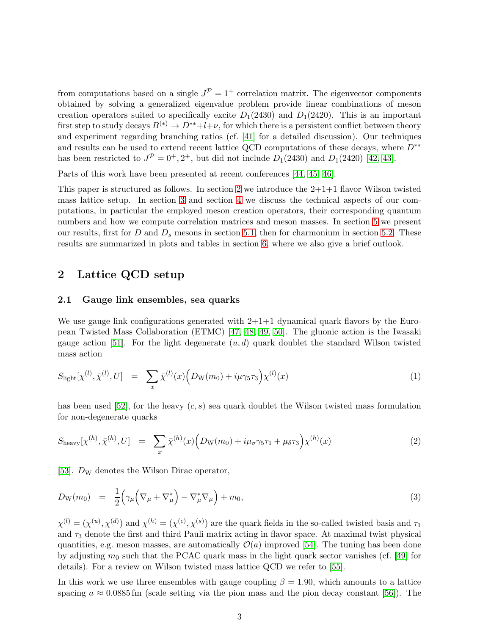from computations based on a single  $J^{\mathcal{P}} = 1^+$  correlation matrix. The eigenvector components obtained by solving a generalized eigenvalue problem provide linear combinations of meson creation operators suited to specifically excite  $D_1(2430)$  and  $D_1(2420)$ . This is an important first step to study decays  $B^{(*)} \to D^{**} + l + \nu$ , for which there is a persistent conflict between theory and experiment regarding branching ratios (cf. [\[41\]](#page-39-9) for a detailed discussion). Our techniques and results can be used to extend recent lattice QCD computations of these decays, where  $D^{**}$ has been restricted to  $J^{\mathcal{P}} = 0^+, 2^+,$  but did not include  $D_1(2430)$  and  $D_1(2420)$  [\[42,](#page-39-10) [43\]](#page-39-11).

Parts of this work have been presented at recent conferences [\[44,](#page-39-12) [45,](#page-39-13) [46\]](#page-39-14).

This paper is structured as follows. In section [2](#page-3-0) we introduce the  $2+1+1$  flavor Wilson twisted mass lattice setup. In section [3](#page-5-0) and section [4](#page-9-0) we discuss the technical aspects of our computations, in particular the employed meson creation operators, their corresponding quantum numbers and how we compute correlation matrices and meson masses. In section [5](#page-15-0) we present our results, first for  $D$  and  $D_s$  mesons in section [5.1,](#page-16-0) then for charmonium in section [5.2.](#page-25-0) These results are summarized in plots and tables in section [6,](#page-30-0) where we also give a brief outlook.

# <span id="page-3-3"></span><span id="page-3-0"></span>2 Lattice QCD setup

#### 2.1 Gauge link ensembles, sea quarks

We use gauge link configurations generated with  $2+1+1$  dynamical quark flavors by the European Twisted Mass Collaboration (ETMC) [\[47,](#page-39-15) [48,](#page-40-0) [49,](#page-40-1) [50\]](#page-40-2). The gluonic action is the Iwasaki gauge action [\[51\]](#page-40-3). For the light degenerate  $(u, d)$  quark doublet the standard Wilson twisted mass action

<span id="page-3-1"></span>
$$
S_{\text{light}}[\chi^{(l)}, \bar{\chi}^{(l)}, U] = \sum_{x} \bar{\chi}^{(l)}(x) \Big( D_{\text{W}}(m_0) + i\mu \gamma_5 \tau_3 \Big) \chi^{(l)}(x) \tag{1}
$$

has been used [\[52\]](#page-40-4), for the heavy  $(c, s)$  sea quark doublet the Wilson twisted mass formulation for non-degenerate quarks

$$
S_{\text{heavy}}[\chi^{(h)}, \bar{\chi}^{(h)}, U] = \sum_{x} \bar{\chi}^{(h)}(x) \Big( D_{\text{W}}(m_0) + i\mu_{\sigma} \gamma_5 \tau_1 + \mu_{\delta} \tau_3 \Big) \chi^{(h)}(x) \tag{2}
$$

[\[53\]](#page-40-5).  $D_W$  denotes the Wilson Dirac operator,

<span id="page-3-2"></span>
$$
D_{\mathcal{W}}(m_0) = \frac{1}{2} \Big( \gamma_\mu \Big( \nabla_\mu + \nabla_\mu^* \Big) - \nabla_\mu^* \nabla_\mu \Big) + m_0, \tag{3}
$$

 $\chi^{(l)} = (\chi^{(u)}, \chi^{(d)})$  and  $\chi^{(h)} = (\chi^{(c)}, \chi^{(s)})$  are the quark fields in the so-called twisted basis and  $\tau_1$ and  $\tau_3$  denote the first and third Pauli matrix acting in flavor space. At maximal twist physical quantities, e.g. meson masses, are automatically  $\mathcal{O}(a)$  improved [\[54\]](#page-40-6). The tuning has been done by adjusting  $m_0$  such that the PCAC quark mass in the light quark sector vanishes (cf. [\[49\]](#page-40-1) for details). For a review on Wilson twisted mass lattice QCD we refer to [\[55\]](#page-40-7).

In this work we use three ensembles with gauge coupling  $\beta = 1.90$ , which amounts to a lattice spacing  $a \approx 0.0885$  fm (scale setting via the pion mass and the pion decay constant [\[56\]](#page-40-8)). The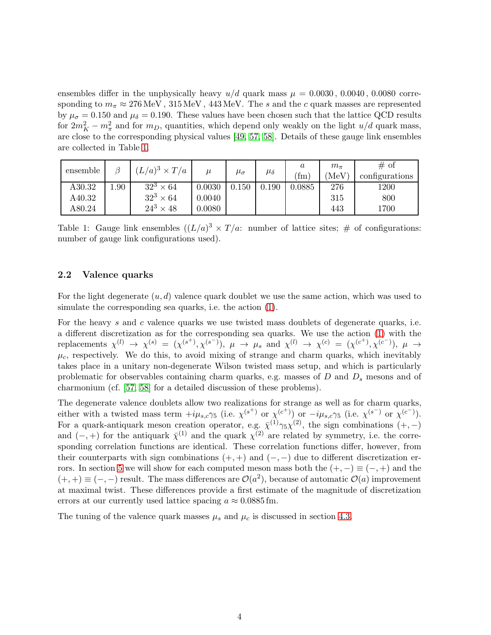ensembles differ in the unphysically heavy  $u/d$  quark mass  $\mu = 0.0030, 0.0040, 0.0080$  corresponding to  $m_{\pi} \approx 276 \text{ MeV}$ ,  $315 \text{ MeV}$ ,  $443 \text{ MeV}$ . The s and the c quark masses are represented by  $\mu_{\sigma} = 0.150$  and  $\mu_{\delta} = 0.190$ . These values have been chosen such that the lattice QCD results for  $2m_K^2 - m_\pi^2$  and for  $m_D$ , quantities, which depend only weakly on the light  $u/d$  quark mass, are close to the corresponding physical values [\[49,](#page-40-1) [57,](#page-40-9) [58\]](#page-40-10). Details of these gauge link ensembles are collected in Table [1.](#page-4-0)

<span id="page-4-0"></span>

| ensemble |      | $(L/a)^3 \times T/a$ | $\mu$  | $\mu_{\sigma}$ | $\mu_{\delta}$ | $\boldsymbol{a}$<br>$\rm fm$ | $m_{\pi}$<br>$({\rm MeV})$ | # of<br>configurations |
|----------|------|----------------------|--------|----------------|----------------|------------------------------|----------------------------|------------------------|
| A30.32   | 00.1 | $32^3 \times 64$     | 0.0030 | 0.150          | $0.190\,$      | 0.0885                       | 276                        | 1200                   |
| A40.32   |      | $32^3 \times 64$     | 0.0040 |                |                |                              | 315                        | 800                    |
| A80.24   |      | $24^3 \times 48$     | 0.0080 |                |                |                              | 443                        | 1700                   |

Table 1: Gauge link ensembles  $((L/a)^3 \times T/a)$ : number of lattice sites; # of configurations: number of gauge link configurations used).

### <span id="page-4-1"></span>2.2 Valence quarks

For the light degenerate  $(u, d)$  valence quark doublet we use the same action, which was used to simulate the corresponding sea quarks, i.e. the action [\(1\)](#page-3-1).

For the heavy s and c valence quarks we use twisted mass doublets of degenerate quarks, i.e. a different discretization as for the corresponding sea quarks. We use the action [\(1\)](#page-3-1) with the replacements  $\chi^{(l)} \to \chi^{(s)} = (\chi^{(s^+)}, \chi^{(s^-)})$ ,  $\mu \to \mu_s$  and  $\chi^{(l)} \to \chi^{(c)} = (\chi^{(c^+)}, \chi^{(c^-)})$ ,  $\mu \to \mu_s$  $\mu_c$ , respectively. We do this, to avoid mixing of strange and charm quarks, which inevitably takes place in a unitary non-degenerate Wilson twisted mass setup, and which is particularly problematic for observables containing charm quarks, e.g. masses of  $D$  and  $D_s$  mesons and of charmonium (cf. [\[57,](#page-40-9) [58\]](#page-40-10) for a detailed discussion of these problems).

The degenerate valence doublets allow two realizations for strange as well as for charm quarks, either with a twisted mass term  $+i\mu_{s,c}\gamma_5$  (i.e.  $\chi^{(s^+)}$  or  $\chi^{(c^+)}$ ) or  $-i\mu_{s,c}\gamma_5$  (i.e.  $\chi^{(s^-)}$  or  $\chi^{(c^-)}$ ). For a quark-antiquark meson creation operator, e.g.  $\bar{\chi}^{(1)}\gamma_5\chi^{(2)}$ , the sign combinations  $(+,-)$ and  $(-,+)$  for the antiquark  $\bar{\chi}^{(1)}$  and the quark  $\chi^{(2)}$  are related by symmetry, i.e. the corresponding correlation functions are identical. These correlation functions differ, however, from their counterparts with sign combinations  $(+, +)$  and  $(-, -)$  due to different discretization er-rors. In section [5](#page-15-0) we will show for each computed meson mass both the  $(+,-) \equiv (-,+)$  and the  $(+, +) \equiv (-, -)$  result. The mass differences are  $\mathcal{O}(a^2)$ , because of automatic  $\mathcal{O}(a)$  improvement at maximal twist. These differences provide a first estimate of the magnitude of discretization errors at our currently used lattice spacing  $a \approx 0.0885$  fm.

The tuning of the valence quark masses  $\mu_s$  and  $\mu_c$  is discussed in section [4.3.](#page-13-0)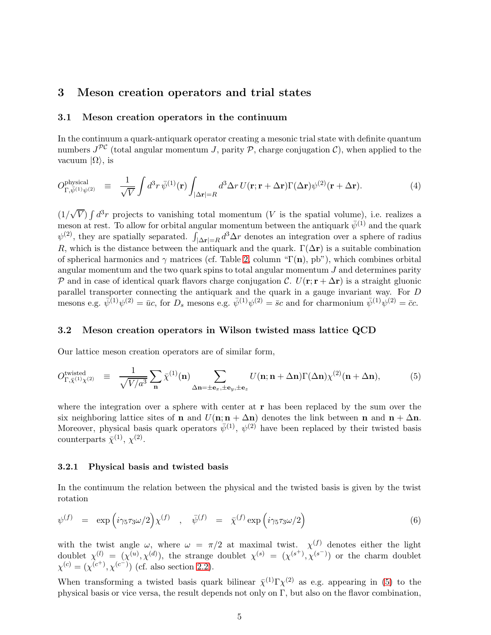# <span id="page-5-0"></span>3 Meson creation operators and trial states

### 3.1 Meson creation operators in the continuum

In the continuum a quark-antiquark operator creating a mesonic trial state with definite quantum numbers  $J^{PC}$  (total angular momentum J, parity P, charge conjugation C), when applied to the vacuum  $|Ω\rangle$ , is

$$
O_{\Gamma,\bar{\psi}^{(1)}\psi^{(2)}}^{\text{physical}} \equiv \frac{1}{\sqrt{V}} \int d^3 r \,\bar{\psi}^{(1)}(\mathbf{r}) \int_{|\Delta \mathbf{r}|=R} d^3 \Delta r \, U(\mathbf{r}; \mathbf{r} + \Delta \mathbf{r}) \Gamma(\Delta \mathbf{r}) \psi^{(2)}(\mathbf{r} + \Delta \mathbf{r}). \tag{4}
$$

 $(1/\sqrt{V}) \int d^3r$  projects to vanishing total momentum (V is the spatial volume), i.e. realizes a meson at rest. To allow for orbital angular momentum between the antiquark  $\bar{\psi}^{(1)}$  and the quark  $\psi^{(2)}$ , they are spatially separated.  $\int_{|\Delta r|=R} d^3 \Delta r$  denotes an integration over a sphere of radius R, which is the distance between the antiquark and the quark.  $\Gamma(\Delta r)$  is a suitable combination of spherical harmonics and  $\gamma$  matrices (cf. Table [2,](#page-6-0) column "Γ(n), pb"), which combines orbital angular momentum and the two quark spins to total angular momentum  $J$  and determines parity P and in case of identical quark flavors charge conjugation C.  $U(\mathbf{r}; \mathbf{r} + \Delta \mathbf{r})$  is a straight gluonic parallel transporter connecting the antiquark and the quark in a gauge invariant way. For D mesons e.g.  $\bar{\psi}^{(1)}\psi^{(2)} = \bar{u}c$ , for  $D_s$  mesons e.g.  $\bar{\psi}^{(1)}\psi^{(2)} = \bar{s}c$  and for charmonium  $\bar{\psi}^{(1)}\psi^{(2)} = \bar{c}c$ .

### <span id="page-5-4"></span>3.2 Meson creation operators in Wilson twisted mass lattice QCD

Our lattice meson creation operators are of similar form,

<span id="page-5-1"></span>
$$
O_{\Gamma,\bar{\chi}^{(1)}\chi^{(2)}}^{\text{twisted}} \equiv \frac{1}{\sqrt{V/a^3}} \sum_{\mathbf{n}} \bar{\chi}^{(1)}(\mathbf{n}) \sum_{\Delta \mathbf{n} = \pm \mathbf{e}_x, \pm \mathbf{e}_y, \pm \mathbf{e}_z} U(\mathbf{n}; \mathbf{n} + \Delta \mathbf{n}) \Gamma(\Delta \mathbf{n}) \chi^{(2)}(\mathbf{n} + \Delta \mathbf{n}), \tag{5}
$$

where the integration over a sphere with center at  $\bf{r}$  has been replaced by the sum over the six neighboring lattice sites of **n** and  $U(n; n + \Delta n)$  denotes the link between **n** and  $n + \Delta n$ . Moreover, physical basis quark operators  $\bar{\psi}^{(1)}$ ,  $\psi^{(2)}$  have been replaced by their twisted basis counterparts  $\bar{\chi}^{(1)}, \chi^{(2)}$ .

### <span id="page-5-3"></span>3.2.1 Physical basis and twisted basis

In the continuum the relation between the physical and the twisted basis is given by the twist rotation

<span id="page-5-2"></span>
$$
\psi^{(f)} = \exp\left(i\gamma_5\tau_3\omega/2\right)\chi^{(f)} \quad , \quad \bar{\psi}^{(f)} = \bar{\chi}^{(f)}\exp\left(i\gamma_5\tau_3\omega/2\right) \tag{6}
$$

with the twist angle  $\omega$ , where  $\omega = \pi/2$  at maximal twist.  $\chi^{(f)}$  denotes either the light doublet  $\chi^{(l)} = (\chi^{(u)}, \chi^{(d)})$ , the strange doublet  $\chi^{(s)} = (\chi^{(s^+)}, \chi^{(s^-)})$  or the charm doublet  $\chi^{(c)} = (\chi^{(c^+)}, \chi^{(c^-)})$  (cf. also section [2.2\)](#page-4-1).

When transforming a twisted basis quark bilinear  $\bar{\chi}^{(1)}\Gamma\chi^{(2)}$  as e.g. appearing in [\(5\)](#page-5-1) to the physical basis or vice versa, the result depends not only on  $\Gamma$ , but also on the flavor combination,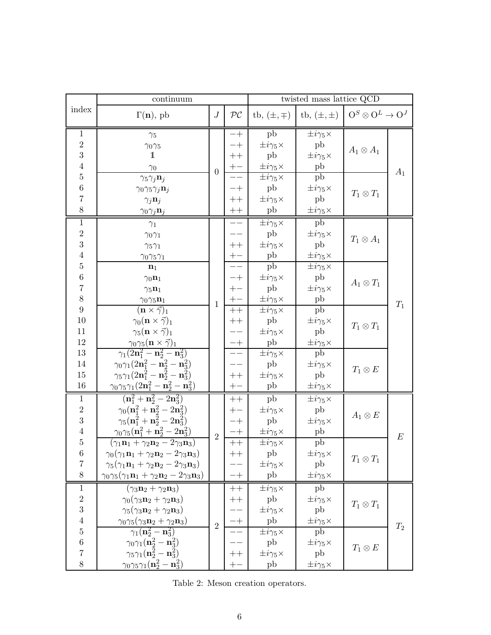<span id="page-6-0"></span>

|                  | continuum                                                                                                        |                  |                   | twisted mass lattice QCD    |                             |                                   |       |
|------------------|------------------------------------------------------------------------------------------------------------------|------------------|-------------------|-----------------------------|-----------------------------|-----------------------------------|-------|
| index            | $\Gamma(\mathbf{n}),$ pb                                                                                         | $\cal J$         | $\mathcal{PC}$    | tb, $(\pm, \mp)$            | tb, $(\pm, \pm)$            | $O^S \otimes O^L \rightarrow O^J$ |       |
| $\mathbf{1}$     | $\gamma_5$                                                                                                       |                  | $-+$              | pb                          | $\pm i\gamma_5\times$       |                                   |       |
| $\sqrt{2}$       | $\gamma_0\gamma_5$                                                                                               |                  |                   | $\pm i\gamma_5\times$       | pb                          | $A_1\otimes A_1$                  |       |
| 3                | 1                                                                                                                |                  | $++$              | pb                          | $\pm i\gamma_5\times$       |                                   |       |
| $\overline{4}$   | $\gamma_0$                                                                                                       | $\boldsymbol{0}$ | $+-$              | $\pm i\gamma_5\times$       | $_{\rm pb}$                 |                                   | $A_1$ |
| $\bf 5$          | $\gamma_5\gamma_j\mathbf{n}_j$                                                                                   |                  |                   | $\pm i\gamma_5\times$       | pb                          |                                   |       |
| $\,6$            | $\gamma_0\gamma_5\gamma_j\mathbf{n}_j$                                                                           |                  |                   | pb                          | $\pm i\gamma_5\times$       | $T_1\otimes T_1$                  |       |
| $\overline{7}$   | $\gamma_j \mathbf{n}_j$                                                                                          |                  | $++$              | $\pm i\gamma_5\times$       | pb                          |                                   |       |
| 8                | $\gamma_0 \gamma_j \mathbf{n}_j$                                                                                 |                  | $\boldsymbol{++}$ | pb                          | $\pm i\gamma_5\times$       |                                   |       |
| $\,1\,$          | $\gamma_1$                                                                                                       |                  |                   | $\pm i\gamma_5\times$       | pb                          |                                   |       |
| $\sqrt{2}$       | $\gamma_0\gamma_1$                                                                                               |                  |                   | pb                          | $\pm i\gamma_5\times$       | $T_1 \otimes A_1$                 |       |
| 3                | $\gamma_5\gamma_1$                                                                                               |                  | $++$              | $\pm i\gamma_5\times$       | pb                          |                                   |       |
| $\sqrt{4}$       | $\gamma_0\gamma_5\gamma_1$                                                                                       |                  | $+-$              | pb                          | $\pm i\gamma_5\times$       |                                   |       |
| $\bf 5$          | $n_1$                                                                                                            |                  |                   | pb                          | $\pm i\gamma_5\times$       |                                   |       |
| $\,6$            | $\gamma_0 \mathbf{n}_1$                                                                                          |                  | -+                | $\pm i\gamma_5\times$       | pb                          | $A_1\otimes T_1$                  |       |
| $\overline{7}$   | $\gamma_5 \mathbf{n}_1$                                                                                          |                  | $+-$              | pb                          | $\pm i\gamma_5\times$       |                                   |       |
| 8                | $\gamma_0\gamma_5\mathbf{n}_1$                                                                                   | $\mathbf{1}$     |                   | $\pm i\gamma_5\times$       | pb                          |                                   | $T_1$ |
| $\boldsymbol{9}$ | $(\mathbf{n} \times \vec{\gamma})_1$                                                                             |                  | $++$              | $\pm i\gamma_5\times$       | pb                          |                                   |       |
| 10<br>11         | $\gamma_0(\mathbf{n}\times\vec{\gamma})_1$<br>$\gamma_5(\mathbf{n}\times\vec{\gamma})_1$                         |                  | $++$              | pb                          | $\pm i\gamma_5\times$<br>pb | $T_1\otimes T_1$                  |       |
| 12               |                                                                                                                  |                  |                   | $\pm i\gamma_5\times$<br>pb | $\pm i\gamma_5\times$       |                                   |       |
| 13               | $\gamma_0\gamma_5 (\mathbf{n}\times\vec{\gamma})_1$<br>$\gamma_1(2\mathbf{n}_1^2-\mathbf{n}_2^2-\mathbf{n}_3^2)$ |                  | $-+$              | $\pm i\gamma_5\times$       | pb                          |                                   |       |
| 14               | $\gamma_0\gamma_1(2{\bf n}_1^2-{\bf n}_2^2-{\bf n}_3^2)$                                                         |                  |                   | pb                          | $\pm i\gamma_5\times$       |                                   |       |
| 15               | $\gamma_5\gamma_1(2{\bf n}_1^2-{\bf n}_2^2-{\bf n}_3^2)$                                                         |                  | $++$              | $\pm i\gamma_5\times$       | pb                          | $T_1\otimes E$                    |       |
| 16               | $\gamma_0\gamma_5\gamma_1(2\mathbf{n}_1^2-\mathbf{n}_2^2-\mathbf{n}_3^2)$                                        |                  | $+-$              | ${\rm pb}$                  | $\pm i\gamma_5\times$       |                                   |       |
| $\mathbf{1}$     | $(n_1^2 + n_2^2 - 2n_3^2)$                                                                                       |                  | $++$              | pb                          | $\pm i\gamma_5\times$       |                                   |       |
| $\sqrt{2}$       | $\gamma_0(\mathbf{n}_1^2 + \mathbf{n}_2^2 - 2\mathbf{n}_3^2)$                                                    |                  |                   | $\pm i\gamma_5\times$       | pb                          |                                   |       |
| 3                | $\gamma_5(\mathbf{n}_1^2+\mathbf{n}_2^2-2\mathbf{n}_3^2)$                                                        |                  | -+                | ${\rm pb}$                  | $\pm i\gamma_5\times$       | $A_1\otimes E$                    |       |
| $\,4\,$          | $\gamma_0\gamma_5 ({\bf n}_1^2 + {\bf n}_2^2 - 2{\bf n}_3^2)$                                                    |                  | -+                | $\pm i\gamma_5\times$       | ${\rm pb}$                  |                                   |       |
| $\bf 5$          | $(\gamma_1\mathbf{n}_1+\gamma_2\mathbf{n}_2-2\gamma_3\mathbf{n}_3)$                                              | $\overline{2}$   | $++$              | $\pm i\gamma_5\times$       | ${\rm pb}$                  |                                   | E     |
| $\overline{6}$   | $\gamma_0(\gamma_1\mathbf{n}_1+\gamma_2\mathbf{n}_2-2\gamma_3\mathbf{n}_3)$                                      |                  | $^+$              | ${\rm pb}$                  | $\pm i\gamma_5\times$       |                                   |       |
| $\overline{7}$   | $\gamma_5(\gamma_1\mathbf{n}_1+\gamma_2\mathbf{n}_2-2\gamma_3\mathbf{n}_3)$                                      |                  |                   | $\pm i\gamma_5\times$       | ${\rm pb}$                  | $T_1\otimes T_1$                  |       |
| $8\,$            | $\gamma_0\gamma_5(\gamma_1\mathbf{n}_1+\gamma_2\mathbf{n}_2-2\gamma_3\mathbf{n}_3)$                              |                  | $-+$              | pb                          | $\pm i\gamma_5\times$       |                                   |       |
| $\mathbf{1}$     | $(\gamma_3\mathbf{n}_2 + \gamma_2\mathbf{n}_3)$                                                                  |                  | $++$              | $\pm i\gamma_5\times$       | pb                          |                                   |       |
| $\sqrt{2}$       | $\gamma_0(\gamma_3\mathbf{n}_2+\gamma_2\mathbf{n}_3)$                                                            |                  | $++$              | pb                          | $\pm i\gamma_5\times$       |                                   |       |
| 3                | $\gamma_5(\gamma_3\mathbf{n}_2+\gamma_2\mathbf{n}_3)$                                                            |                  |                   | $\pm i\gamma_5\times$       | pb                          | $T_1\otimes T_1$                  |       |
| $\bf 4$          | $\gamma_0\gamma_5(\gamma_3\mathbf{n}_2+\gamma_2\mathbf{n}_3)$                                                    | $\overline{2}$   |                   | pb                          | $\pm i\gamma_5\times$       |                                   |       |
| $\bf 5$          | $\gamma_1(\mathbf{n}_2^2-\mathbf{n}_3^2)$                                                                        |                  |                   | $\pm i\gamma_5\times$       | pb                          |                                   | $T_2$ |
| $\,6$            | $\gamma_0 \gamma_1 ({\bf n}_2^2 - {\bf n}_3^2)$                                                                  |                  |                   | pb                          | $\pm i\gamma_5\times$       | $T_1 \otimes E$                   |       |
| $\overline{7}$   | $\gamma_5 \gamma_1 ({\bf n}_2^2 - {\bf n}_3^2)$                                                                  |                  | $^+$              | $\pm i\gamma_5\times$       | pb                          |                                   |       |
| 8                | $\gamma_0\gamma_5\gamma_1(\mathbf{n}_2^2-\mathbf{n}_3^2)$                                                        |                  |                   | pb                          | $\pm i\gamma_5\times$       |                                   |       |

Table 2: Meson creation operators.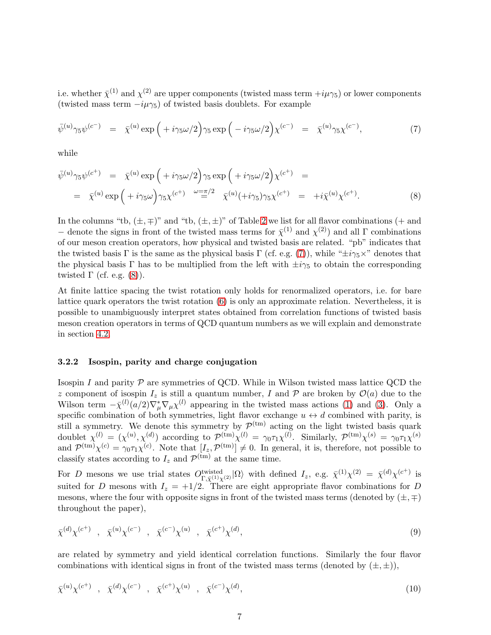i.e. whether  $\bar{\chi}^{(1)}$  and  $\chi^{(2)}$  are upper components (twisted mass term  $+i\mu\gamma_5$ ) or lower components (twisted mass term  $-i\mu\gamma_5$ ) of twisted basis doublets. For example

<span id="page-7-0"></span>
$$
\bar{\psi}^{(u)}\gamma_5\psi^{(c^-)} = \bar{\chi}^{(u)}\exp\left(+i\gamma_5\omega/2\right)\gamma_5\exp\left(-i\gamma_5\omega/2\right)\chi^{(c^-)} = \bar{\chi}^{(u)}\gamma_5\chi^{(c^-)},\tag{7}
$$

while

<span id="page-7-1"></span>
$$
\bar{\psi}^{(u)}\gamma_5\psi^{(c^+)} = \bar{\chi}^{(u)}\exp\left(+i\gamma_5\omega/2\right)\gamma_5\exp\left(+i\gamma_5\omega/2\right)\chi^{(c^+)} =
$$
\n
$$
= \bar{\chi}^{(u)}\exp\left(+i\gamma_5\omega\right)\gamma_5\chi^{(c^+)} \stackrel{\omega = \pi/2}{=} \bar{\chi}^{(u)}(+i\gamma_5)\gamma_5\chi^{(c^+)} = +i\bar{\chi}^{(u)}\chi^{(c^+)}.
$$
\n(8)

In the columns "tb,  $(\pm, \mp)$ " and "tb,  $(\pm, \pm)$ " of Table [2](#page-6-0) we list for all flavor combinations (+ and − denote the signs in front of the twisted mass terms for  $\bar{\chi}^{(1)}$  and  $\chi^{(2)}$ ) and all Γ combinations of our meson creation operators, how physical and twisted basis are related. "pb" indicates that the twisted basis Γ is the same as the physical basis Γ (cf. e.g. [\(7\)](#page-7-0)), while " $\pm i\gamma_5 \times$ " denotes that the physical basis Γ has to be multiplied from the left with  $\pm i\gamma_5$  to obtain the corresponding twisted  $\Gamma$  (cf. e.g. [\(8\)](#page-7-1)).

At finite lattice spacing the twist rotation only holds for renormalized operators, i.e. for bare lattice quark operators the twist rotation [\(6\)](#page-5-2) is only an approximate relation. Nevertheless, it is possible to unambiguously interpret states obtained from correlation functions of twisted basis meson creation operators in terms of QCD quantum numbers as we will explain and demonstrate in section [4.2.](#page-10-0)

#### 3.2.2 Isospin, parity and charge conjugation

Isospin I and parity  $P$  are symmetries of QCD. While in Wilson twisted mass lattice QCD the z component of isospin  $I_z$  is still a quantum number, I and P are broken by  $\mathcal{O}(a)$  due to the Wilson term  $-\bar{\chi}^{(l)}(a/2)\nabla^*_{\mu}\nabla_{\mu}\chi^{(l)}$  appearing in the twisted mass actions [\(1\)](#page-3-1) and [\(3\)](#page-3-2). Only a specific combination of both symmetries, light flavor exchange  $u \leftrightarrow d$  combined with parity, is still a symmetry. We denote this symmetry by  $\mathcal{P}$ still a symmetry. We denote this symmetry by  $\mathcal{P}^{(tm)}$  acting on the light twisted basis quark doublet  $\chi^{(l)} = (\chi^{(u)}, \chi^{(d)})$  according to  $\mathcal{P}^{(\text{tm})}\chi^{(l)} = \gamma_0 \tau_1 \chi^{(l)}$ . Similarly,  $\mathcal{P}^{(\text{tm})}\chi^{(s)} = \gamma_0 \tau_1 \chi^{(s)}$ and  $\mathcal{P}^{(tm)}\chi^{(c)} = \gamma_0\tau_1\chi^{(c)}$ . Note that  $[I_z, \mathcal{P}^{(tm)}] \neq 0$ . In general, it is, therefore, not possible to classify states according to  $I_z$  and  $\mathcal{P}^{(tm)}$  at the same time.

For D mesons we use trial states  $O_{\Gamma,\bar{\chi}^{(1)}\chi^{(2)}}^{\text{twisted}}|\Omega\rangle$  with defined  $I_z$ , e.g.  $\bar{\chi}^{(1)}\chi^{(2)} = \bar{\chi}^{(d)}\chi^{(c^+)}$  is suited for D mesons with  $I_z = +1/2$ . There are eight appropriate flavor combinations for D mesons, where the four with opposite signs in front of the twisted mass terms (denoted by  $(\pm, \mp)$ ) throughout the paper),

$$
\bar{\chi}^{(d)} \chi^{(c^+)}
$$
,  $\bar{\chi}^{(u)} \chi^{(c^-)}$ ,  $\bar{\chi}^{(c^-)} \chi^{(u)}$ ,  $\bar{\chi}^{(c^+)} \chi^{(d)}$ , (9)

are related by symmetry and yield identical correlation functions. Similarly the four flavor combinations with identical signs in front of the twisted mass terms (denoted by  $(\pm, \pm)$ ),

$$
\bar{\chi}^{(u)} \chi^{(c^+)}
$$
,  $\bar{\chi}^{(d)} \chi^{(c^-)}$ ,  $\bar{\chi}^{(c^+)} \chi^{(u)}$ ,  $\bar{\chi}^{(c^-)} \chi^{(d)}$ , (10)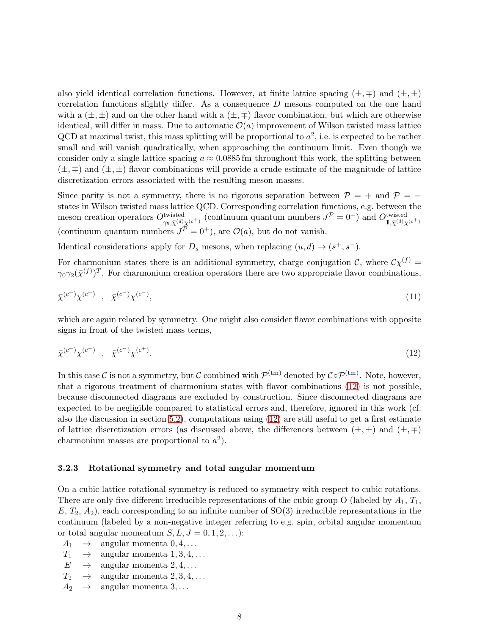also yield identical correlation functions. However, at finite lattice spacing  $(\pm, \mp)$  and  $(\pm, \pm)$ correlation functions slightly differ. As a consequence D mesons computed on the one hand with a  $(\pm, \pm)$  and on the other hand with a  $(\pm, \mp)$  flavor combination, but which are otherwise identical, will differ in mass. Due to automatic  $\mathcal{O}(a)$  improvement of Wilson twisted mass lattice QCD at maximal twist, this mass splitting will be proportional to  $a^2$ , i.e. is expected to be rather small and will vanish quadratically, when approaching the continuum limit. Even though we consider only a single lattice spacing  $a \approx 0.0885$  fm throughout this work, the splitting between  $(\pm, \mp)$  and  $(\pm, \pm)$  flavor combinations will provide a crude estimate of the magnitude of lattice discretization errors associated with the resulting meson masses.

Since parity is not a symmetry, there is no rigorous separation between  $\mathcal{P} = +$  and  $\mathcal{P} =$ states in Wilson twisted mass lattice QCD. Corresponding correlation functions, e.g. between the meson creation operators  $O_{\gamma_5,\bar{\chi}^{(d)}\chi^{(c^+)}}^{twisted}$  (continuum quantum numbers  $J^{\mathcal{P}}=0^-$ ) and  $O_{1,\bar{\chi}^{(d)}\chi^{(c^+)}}^{twisted}$ (continuum quantum numbers  $J^{\mathcal{P}} = 0^{+}$ ), are  $\mathcal{O}(a)$ , but do not vanish.

Identical considerations apply for  $D_s$  mesons, when replacing  $(u, d) \rightarrow (s^+, s^-)$ .

For charmonium states there is an additional symmetry, charge conjugation C, where  $\mathcal{C}\chi^{(f)} =$  $\gamma_0\gamma_2(\bar{\chi}^{(f)})^T$ . For charmonium creation operators there are two appropriate flavor combinations,

$$
\bar{\chi}^{(c^+)} \chi^{(c^+)} \quad , \quad \bar{\chi}^{(c^-)} \chi^{(c^-)} \tag{11}
$$

which are again related by symmetry. One might also consider flavor combinations with opposite signs in front of the twisted mass terms,

<span id="page-8-0"></span>
$$
\bar{\chi}^{(c^+)} \chi^{(c^-)} \quad , \quad \bar{\chi}^{(c^-)} \chi^{(c^+)}.
$$
\n(12)

In this case C is not a symmetry, but C combined with  $\mathcal{P}^{(tm)}$  denoted by  $\mathcal{C} \circ \mathcal{P}^{(tm)}$ . Note, however, that a rigorous treatment of charmonium states with flavor combinations [\(12\)](#page-8-0) is not possible, because disconnected diagrams are excluded by construction. Since disconnected diagrams are expected to be negligible compared to statistical errors and, therefore, ignored in this work (cf. also the discussion in section [5.2\)](#page-25-0), computations using [\(12\)](#page-8-0) are still useful to get a first estimate of lattice discretization errors (as discussed above, the differences between  $(\pm, \pm)$  and  $(\pm, \mp)$ charmonium masses are proportional to  $a^2$ ).

#### 3.2.3 Rotational symmetry and total angular momentum

On a cubic lattice rotational symmetry is reduced to symmetry with respect to cubic rotations. There are only five different irreducible representations of the cubic group O (labeled by  $A_1, T_1,$  $E, T_2, A_2$ , each corresponding to an infinite number of  $SO(3)$  irreducible representations in the continuum (labeled by a non-negative integer referring to e.g. spin, orbital angular momentum or total angular momentum  $S, L, J = 0, 1, 2, \ldots$ :

- $A_1 \rightarrow \text{angular momenta } 0, 4, \ldots$ <br>  $T_1 \rightarrow \text{angular momenta } 1, 3, 4, \ldots$
- $T_1 \rightarrow \text{angular momenta } 1, 3, 4, \dots$ <br>  $E \rightarrow \text{angular momenta } 2, 4, \dots$
- $E \rightarrow \text{angular momenta } 2, 4, \dots$ <br>  $T_2 \rightarrow \text{angular momenta } 2, 3, 4, \dots$
- $T_2 \rightarrow \text{angular momenta } 2, 3, 4, \dots$ <br>  $A_2 \rightarrow \text{angular momenta } 3, \dots$
- angular momenta  $3, \ldots$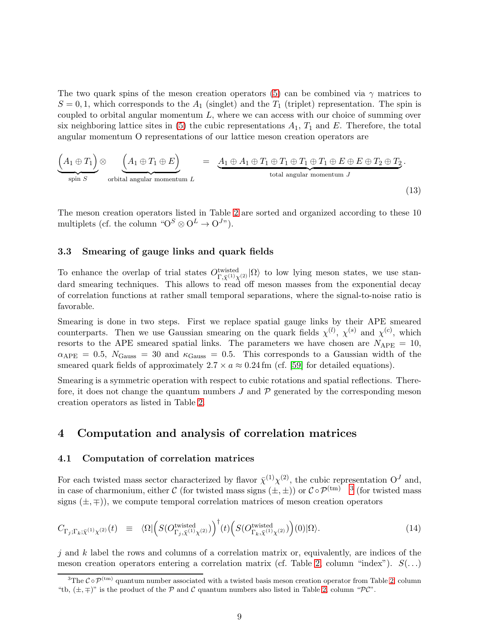The two quark spins of the meson creation operators [\(5\)](#page-5-1) can be combined via  $\gamma$  matrices to  $S = 0, 1$ , which corresponds to the  $A_1$  (singlet) and the  $T_1$  (triplet) representation. The spin is coupled to orbital angular momentum  $L$ , where we can access with our choice of summing over six neighboring lattice sites in [\(5\)](#page-5-1) the cubic representations  $A_1$ ,  $T_1$  and E. Therefore, the total angular momentum O representations of our lattice meson creation operators are

$$
\underbrace{(A_1 \oplus T_1)}_{\text{spin } S} \otimes \underbrace{(A_1 \oplus T_1 \oplus E)}_{\text{orbital angular momentum } L} = \underbrace{A_1 \oplus A_1 \oplus T_1 \oplus T_1 \oplus T_1 \oplus T_1 \oplus E \oplus E \oplus T_2 \oplus T_2}_{\text{total angular momentum } J}.
$$
\n(13)

The meson creation operators listed in Table [2](#page-6-0) are sorted and organized according to these 10 multiplets (cf. the column " $O^S \otimes O^L \rightarrow O^{J_{\mathcal{V}}}.$ 

### <span id="page-9-2"></span>3.3 Smearing of gauge links and quark fields

To enhance the overlap of trial states  $O_{\Gamma,\bar{X}^{(1)}(2)}^{\text{twisted}}|\Omega\rangle$  to low lying meson states, we use standard smearing techniques. This allows to read off meson masses from the exponential decay of correlation functions at rather small temporal separations, where the signal-to-noise ratio is favorable.

Smearing is done in two steps. First we replace spatial gauge links by their APE smeared counterparts. Then we use Gaussian smearing on the quark fields  $\chi^{(l)}$ ,  $\chi^{(s)}$  and  $\chi^{(c)}$ , which resorts to the APE smeared spatial links. The parameters we have chosen are  $N_{\text{APE}} = 10$ ,  $\alpha_{\rm APE} = 0.5$ ,  $N_{\rm Gauss} = 30$  and  $\kappa_{\rm Gauss} = 0.5$ . This corresponds to a Gaussian width of the smeared quark fields of approximately  $2.7 \times a \approx 0.24$  fm (cf. [\[59\]](#page-40-11) for detailed equations).

Smearing is a symmetric operation with respect to cubic rotations and spatial reflections. Therefore, it does not change the quantum numbers  $J$  and  $\mathcal P$  generated by the corresponding meson creation operators as listed in Table [2.](#page-6-0)

# <span id="page-9-4"></span><span id="page-9-0"></span>4 Computation and analysis of correlation matrices

#### 4.1 Computation of correlation matrices

For each twisted mass sector characterized by flavor  $\bar{\chi}^{(1)} \chi^{(2)}$ , the cubic representation  $O<sup>J</sup>$  and, in case of charmonium, either C (for twisted mass signs  $(\pm, \pm)$ ) or  $C \circ \mathcal{P}^{(tm)}$  [3](#page-9-1) (for twisted mass signs  $(\pm, \mp)$ , we compute temporal correlation matrices of meson creation operators

<span id="page-9-3"></span>
$$
C_{\Gamma_j; \Gamma_k; \bar{\chi}^{(1)} \chi^{(2)}}(t) \equiv \langle \Omega | \Big( S(O^{\text{twisted}}_{\Gamma_j, \bar{\chi}^{(1)} \chi^{(2)}}) \Big)^{\dagger}(t) \Big( S(O^{\text{twisted}}_{\Gamma_k, \bar{\chi}^{(1)} \chi^{(2)}}) \Big) (0) | \Omega \rangle. \tag{14}
$$

j and k label the rows and columns of a correlation matrix or, equivalently, are indices of the meson creation operators entering a correlation matrix (cf. Table [2,](#page-6-0) column "index").  $S(\ldots)$ 

<span id="page-9-1"></span><sup>&</sup>lt;sup>3</sup>The  $\mathcal{C} \circ \mathcal{P}^{(tm)}$  quantum number associated with a twisted basis meson creation operator from Table [2,](#page-6-0) column "tb,  $(\pm, \mp)$ " is the product of the P and C quantum numbers also listed in Table [2,](#page-6-0) column "PC".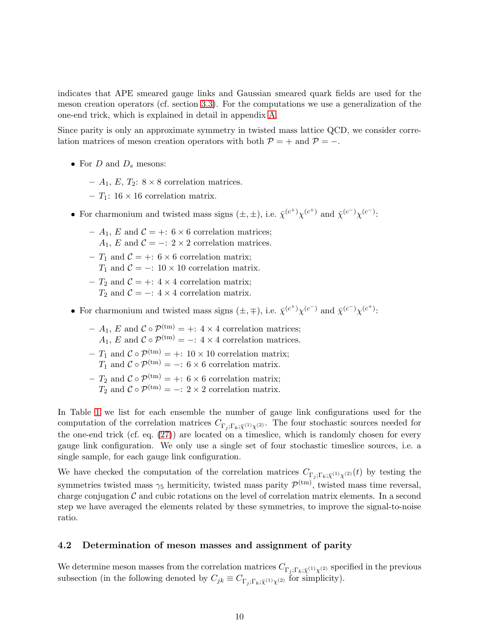indicates that APE smeared gauge links and Gaussian smeared quark fields are used for the meson creation operators (cf. section [3.3\)](#page-9-2). For the computations we use a generalization of the one-end trick, which is explained in detail in appendix [A.](#page-34-0)

Since parity is only an approximate symmetry in twisted mass lattice QCD, we consider correlation matrices of meson creation operators with both  $P = +$  and  $P = -$ .

- For  $D$  and  $D_s$  mesons:
	- $A_1$ , E,  $T_2$ :  $8 \times 8$  correlation matrices.
	- $T_1$ : 16 × 16 correlation matrix.
- For charmonium and twisted mass signs  $(\pm, \pm)$ , i.e.  $\bar{\chi}^{(c^+)} \chi^{(c^+)}$  and  $\bar{\chi}^{(c^-)} \chi^{(c^-)}$ :
	- $-A_1, E$  and  $C = +: 6 \times 6$  correlation matrices;  $A_1, E$  and  $C = -$ : 2 × 2 correlation matrices.
	- $T_1$  and  $C = +: 6 \times 6$  correlation matrix;
		- $T_1$  and  $C = -10 \times 10$  correlation matrix.
	- $T_2$  and  $C = +: 4 \times 4$  correlation matrix;  $T_2$  and  $C = -$ : 4 × 4 correlation matrix.
- For charmonium and twisted mass signs  $(\pm, \mp)$ , i.e.  $\bar{\chi}^{(c^+)} \chi^{(c^-)}$  and  $\bar{\chi}^{(c^-)} \chi^{(c^+)}$ :
	- $A_1$ , E and  $C \circ \mathcal{P}^{(tm)} = +: 4 \times 4$  correlation matrices;  $A_1, E$  and  $C \circ \mathcal{P}^{(tm)} = -14 \times 4$  correlation matrices.
	- $T_1$  and  $C \circ \mathcal{P}^{(tm)} = +: 10 \times 10$  correlation matrix;  $T_1$  and  $C \circ \mathcal{P}^{(tm)} = -1.6 \times 6$  correlation matrix.
	- $-T_2$  and  $C \circ \mathcal{P}^{(tm)} = +: 6 \times 6$  correlation matrix;  $T_2$  and  $C \circ \mathcal{P}^{(\text{tm})} = -: 2 \times 2$  correlation matrix.

In Table [1](#page-4-0) we list for each ensemble the number of gauge link configurations used for the computation of the correlation matrices  $C_{\Gamma_i;\Gamma_k;\bar{\chi}^{(1)}\chi^{(2)}}$ . The four stochastic sources needed for the one-end trick (cf. eq. [\(27\)](#page-35-0)) are located on a timeslice, which is randomly chosen for every gauge link configuration. We only use a single set of four stochastic timeslice sources, i.e. a single sample, for each gauge link configuration.

We have checked the computation of the correlation matrices  $C_{\Gamma_i;\Gamma_k;\bar{\chi}^{(1)}\chi^{(2)}}(t)$  by testing the symmetries twisted mass  $\gamma_5$  hermiticity, twisted mass parity  $\mathcal{P}^{(tm)}$ , twisted mass time reversal, charge conjugation  $\mathcal C$  and cubic rotations on the level of correlation matrix elements. In a second step we have averaged the elements related by these symmetries, to improve the signal-to-noise ratio.

#### <span id="page-10-0"></span>4.2 Determination of meson masses and assignment of parity

We determine meson masses from the correlation matrices  $C_{\Gamma_i;\Gamma_k;\bar{\chi}^{(1)}\chi^{(2)}}$  specified in the previous subsection (in the following denoted by  $C_{jk} \equiv C_{\Gamma_j;\Gamma_k;\bar{\chi}^{(1)}\chi^{(2)}}$  for simplicity).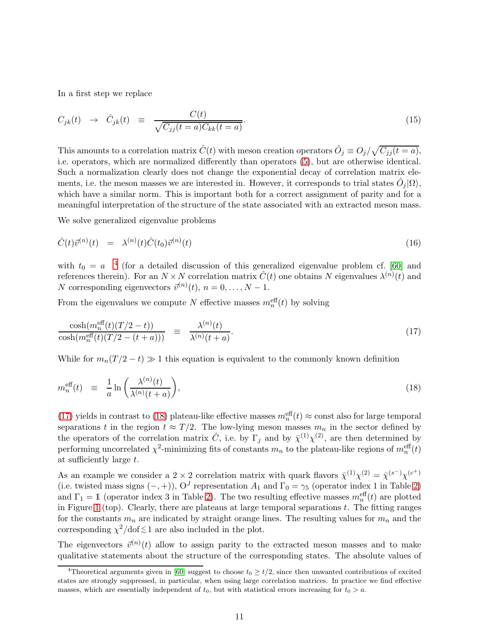In a first step we replace

$$
C_{jk}(t) \rightarrow \hat{C}_{jk}(t) \equiv \frac{C(t)}{\sqrt{C_{jj}(t=a)C_{kk}(t=a)}}.
$$
\n(15)

This amounts to a correlation matrix  $\hat{C}(t)$  with meson creation operators  $\hat{O}_j \equiv O_j/\sqrt{C_{jj}(t-a)}$ , i.e. operators, which are normalized differently than operators [\(5\)](#page-5-1), but are otherwise identical. Such a normalization clearly does not change the exponential decay of correlation matrix elements, i.e. the meson masses we are interested in. However, it corresponds to trial states  $\hat{O}_j|\Omega\rangle$ , which have a similar norm. This is important both for a correct assignment of parity and for a meaningful interpretation of the structure of the state associated with an extracted meson mass.

We solve generalized eigenvalue problems

<span id="page-11-3"></span>
$$
\hat{C}(t)\vec{v}^{(n)}(t) = \lambda^{(n)}(t)\hat{C}(t_0)\vec{v}^{(n)}(t) \tag{16}
$$

with  $t_0 = a^{-4}$  $t_0 = a^{-4}$  $t_0 = a^{-4}$  (for a detailed discussion of this generalized eigenvalue problem cf. [\[60\]](#page-40-12) and references therein). For an  $N \times N$  correlation matrix  $\hat{C}(t)$  one obtains N eigenvalues  $\lambda^{(n)}(t)$  and N corresponding eigenvectors  $\vec{v}^{(n)}(t)$ ,  $n = 0, ..., N - 1$ .

From the eigenvalues we compute N effective masses  $m_n^{\text{eff}}(t)$  by solving

<span id="page-11-1"></span>
$$
\frac{\cosh\left(m_n^{\text{eff}}(t)\left(T/2-t\right)\right)}{\cosh\left(m_n^{\text{eff}}(t)\left(T/2-(t+a)\right)\right)} \equiv \frac{\lambda^{(n)}(t)}{\lambda^{(n)}(t+a)}.\tag{17}
$$

While for  $m_n(T/2 - t) \gg 1$  this equation is equivalent to the commonly known definition

<span id="page-11-2"></span>
$$
m_n^{\text{eff}}(t) \equiv \frac{1}{a} \ln \left( \frac{\lambda^{(n)}(t)}{\lambda^{(n)}(t+a)} \right), \tag{18}
$$

[\(17\)](#page-11-1) yields in contrast to [\(18\)](#page-11-2) plateau-like effective masses  $m_n^{\text{eff}}(t) \approx \text{const}$  also for large temporal separations t in the region  $t \approx T/2$ . The low-lying meson masses  $m_n$  in the sector defined by the operators of the correlation matrix  $\hat{C}$ , i.e. by  $\Gamma_j$  and by  $\bar{\chi}^{(1)} \chi^{(2)}$ , are then determined by performing uncorrelated  $\chi^2$ -minimizing fits of constants  $m_n$  to the plateau-like regions of  $m_n^{\text{eff}}(t)$ at sufficiently large t.

As an example we consider a 2 × 2 correlation matrix with quark flavors  $\bar{\chi}^{(1)} \chi^{(2)} = \bar{\chi}^{(s^{-})} \chi^{(c^{+})}$ (i.e. twisted mass signs  $(-, +)$ ),  $O<sup>J</sup>$  representation  $A<sub>1</sub>$  and  $\Gamma<sub>0</sub> = \gamma<sub>5</sub>$  (operator index 1 in Table [2\)](#page-6-0) and  $\Gamma_1 = 1$  (operator index 3 in Table [2\)](#page-6-0). The two resulting effective masses  $m_n^{\text{eff}}(t)$  are plotted in Figure [1](#page-12-0) (top). Clearly, there are plateaus at large temporal separations  $t$ . The fitting ranges for the constants  $m_n$  are indicated by straight orange lines. The resulting values for  $m_n$  and the corresponding  $\chi^2/\text{dof} \lesssim 1$  are also included in the plot.

The eigenvectors  $\vec{v}^{(n)}(t)$  allow to assign parity to the extracted meson masses and to make qualitative statements about the structure of the corresponding states. The absolute values of

<span id="page-11-0"></span><sup>&</sup>lt;sup>4</sup>Theoretical arguments given in [\[60\]](#page-40-12) suggest to choose  $t_0 \geq t/2$ , since then unwanted contributions of excited states are strongly suppressed, in particular, when using large correlation matrices. In practice we find effective masses, which are essentially independent of  $t_0$ , but with statistical errors increasing for  $t_0 > a$ .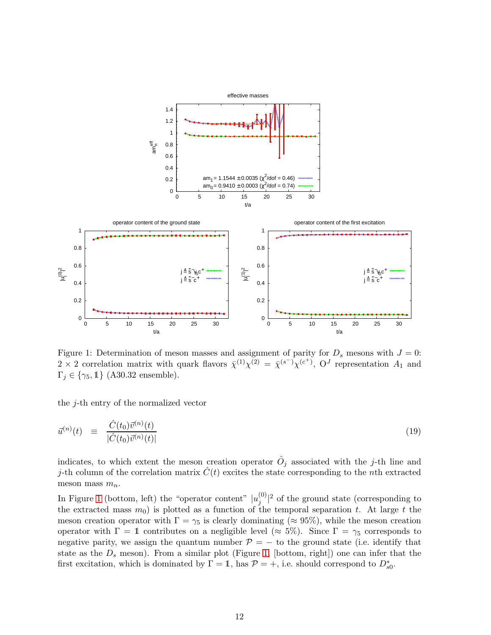<span id="page-12-0"></span>

Figure 1: Determination of meson masses and assignment of parity for  $D_s$  mesons with  $J = 0$ :  $2 \times 2$  correlation matrix with quark flavors  $\bar{\chi}^{(1)} \chi^{(2)} = \bar{\chi}^{(s^{-})} \chi^{(c^{+})}$ ,  $O^J$  representation  $A_1$  and  $\Gamma_i \in \{\gamma_5, 1\}$  (A30.32 ensemble).

the  $j$ -th entry of the normalized vector

<span id="page-12-1"></span>
$$
\vec{u}^{(n)}(t) \equiv \frac{\hat{C}(t_0)\vec{v}^{(n)}(t)}{|\hat{C}(t_0)\vec{v}^{(n)}(t)|} \tag{19}
$$

indicates, to which extent the meson creation operator  $\hat{O}_j$  associated with the j-th line and j-th column of the correlation matrix  $\hat{C}(t)$  excites the state corresponding to the nth extracted meson mass  $m_n$ .

In Figure [1](#page-12-0) (bottom, left) the "operator content"  $|u_j^{(0)}|$  $j^{(0)}$ <sup>2</sup> of the ground state (corresponding to the extracted mass  $m_0$ ) is plotted as a function of the temporal separation t. At large t the meson creation operator with  $\Gamma = \gamma_5$  is clearly dominating ( $\approx 95\%$ ), while the meson creation operator with  $\Gamma = 1$  contributes on a negligible level ( $\approx 5\%$ ). Since  $\Gamma = \gamma_5$  corresponds to negative parity, we assign the quantum number  $\mathcal{P} = -$  to the ground state (i.e. identify that state as the  $D_s$  meson). From a similar plot (Figure [1,](#page-12-0) [bottom, right]) one can infer that the first excitation, which is dominated by  $\Gamma = \mathbb{1}$ , has  $\mathcal{P} = +$ , i.e. should correspond to  $D_{s0}^*$ .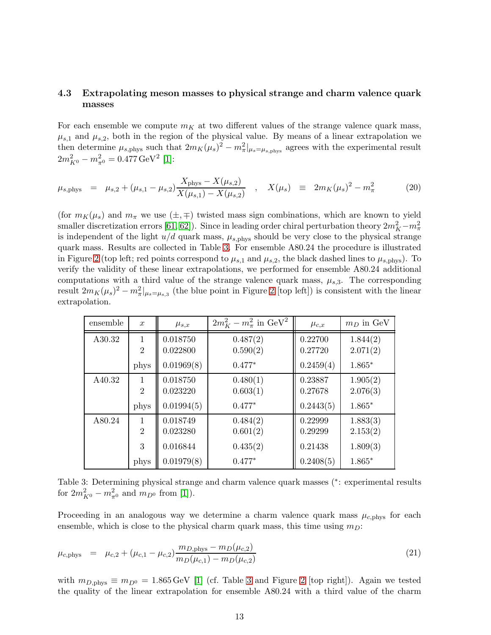### <span id="page-13-0"></span>4.3 Extrapolating meson masses to physical strange and charm valence quark masses

For each ensemble we compute  $m<sub>K</sub>$  at two different values of the strange valence quark mass,  $\mu_{s,1}$  and  $\mu_{s,2}$ , both in the region of the physical value. By means of a linear extrapolation we then determine  $\mu_{s,phys}$  such that  $2m_K(\mu_s)^2 - m_{\pi}^2|_{\mu_s = \mu_{s,phys}}$  agrees with the experimental result  $2m_{K^0}^2 - m_{\pi^0}^2 = 0.477 \,\text{GeV}^2$  [\[1\]](#page-37-0):

$$
\mu_{s, \text{phys}} = \mu_{s,2} + (\mu_{s,1} - \mu_{s,2}) \frac{X_{\text{phys}} - X(\mu_{s,2})}{X(\mu_{s,1}) - X(\mu_{s,2})} , \quad X(\mu_s) \equiv 2m_K(\mu_s)^2 - m_\pi^2
$$
 (20)

(for  $m_K(\mu_s)$  and  $m_\pi$  we use  $(\pm, \mp)$  twisted mass sign combinations, which are known to yield smaller discretization errors [\[61,](#page-40-13) [62\]](#page-40-14)). Since in leading order chiral perturbation theory  $2m_K^2 - m_\pi^2$ is independent of the light  $u/d$  quark mass,  $\mu_{s,phys}$  should be very close to the physical strange quark mass. Results are collected in Table [3.](#page-13-1) For ensemble A80.24 the procedure is illustrated in Figure [2](#page-14-0) (top left; red points correspond to  $\mu_{s,1}$  and  $\mu_{s,2}$ , the black dashed lines to  $\mu_{s,phys}$ ). To verify the validity of these linear extrapolations, we performed for ensemble A80.24 additional computations with a third value of the strange valence quark mass,  $\mu_{s,3}$ . The corresponding result  $2m_K(\mu_s)^2 - m_\pi^2|_{\mu_s = \mu_{s,3}}$  (the blue point in Figure [2](#page-14-0) [top left]) is consistent with the linear extrapolation.

<span id="page-13-1"></span>

| ensemble | $\boldsymbol{x}$    | $\mu_{s,x}$          | $2m_K^2 - m_\pi^2$ in GeV <sup>2</sup> | $\mu_{c,x}$        | $m_D$ in GeV         |
|----------|---------------------|----------------------|----------------------------------------|--------------------|----------------------|
| A30.32   | 1<br>$\overline{2}$ | 0.018750<br>0.022800 | 0.487(2)<br>0.590(2)                   | 0.22700<br>0.27720 | 1.844(2)<br>2.071(2) |
|          | phys                | 0.01969(8)           | $0.477*$                               | 0.2459(4)          | $1.865*$             |
| A40.32   | 1<br>$\overline{2}$ | 0.018750<br>0.023220 | 0.480(1)<br>0.603(1)                   | 0.23887<br>0.27678 | 1.905(2)<br>2.076(3) |
|          | phys                | 0.01994(5)           | $0.477*$                               | 0.2443(5)          | $1.865*$             |
| A80.24   | 1<br>$\overline{2}$ | 0.018749<br>0.023280 | 0.484(2)<br>0.601(2)                   | 0.22999<br>0.29299 | 1.883(3)<br>2.153(2) |
|          | 3                   | 0.016844             | 0.435(2)                               | 0.21438            | 1.809(3)             |
|          | phys                | 0.01979(8)           | $0.477*$                               | 0.2408(5)          | $1.865*$             |

Table 3: Determining physical strange and charm valence quark masses (<sup>∗</sup> : experimental results for  $2m_{K^0}^2 - m_{\pi^0}^2$  and  $m_{D^0}$  from [\[1\]](#page-37-0)).

Proceeding in an analogous way we determine a charm valence quark mass  $\mu_{c,phys}$  for each ensemble, which is close to the physical charm quark mass, this time using  $m_D$ :

$$
\mu_{c,\text{phys}} = \mu_{c,2} + (\mu_{c,1} - \mu_{c,2}) \frac{m_{D,\text{phys}} - m_D(\mu_{c,2})}{m_D(\mu_{c,1}) - m_D(\mu_{c,2})}
$$
\n(21)

with  $m_{D,\text{phys}} \equiv m_{D^0} = 1.865 \,\text{GeV}$  [\[1\]](#page-37-0) (cf. Table [3](#page-13-1) and Figure [2](#page-14-0) [top right]). Again we tested the quality of the linear extrapolation for ensemble A80.24 with a third value of the charm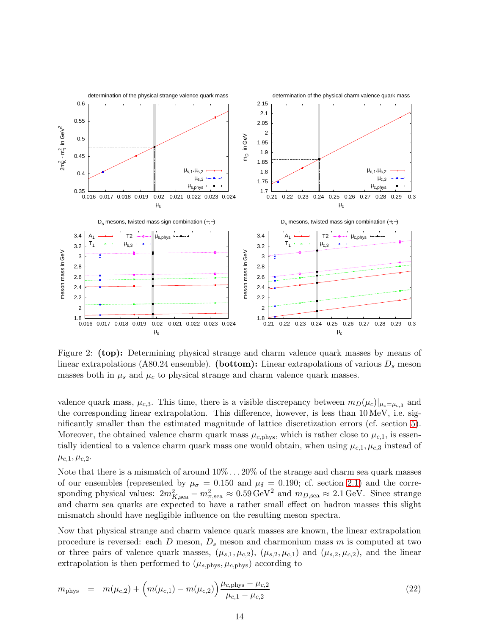<span id="page-14-0"></span>

Figure 2: (top): Determining physical strange and charm valence quark masses by means of linear extrapolations (A80.24 ensemble). (bottom): Linear extrapolations of various  $D_s$  meson masses both in  $\mu_s$  and  $\mu_c$  to physical strange and charm valence quark masses.

valence quark mass,  $\mu_{c,3}$ . This time, there is a visible discrepancy between  $m_D(\mu_c)|_{\mu_c=\mu_{c,3}}$  and the corresponding linear extrapolation. This difference, however, is less than 10 MeV, i.e. significantly smaller than the estimated magnitude of lattice discretization errors (cf. section [5\)](#page-15-0). Moreover, the obtained valence charm quark mass  $\mu_{c,phys}$ , which is rather close to  $\mu_{c,1}$ , is essentially identical to a valence charm quark mass one would obtain, when using  $\mu_{c,1}, \mu_{c,3}$  instead of  $\mu_{c,1}, \mu_{c,2}.$ 

Note that there is a mismatch of around  $10\% \ldots 20\%$  of the strange and charm sea quark masses of our ensembles (represented by  $\mu_{\sigma} = 0.150$  and  $\mu_{\delta} = 0.190$ ; cf. section [2.1\)](#page-3-3) and the corresponding physical values:  $2m_{K,\text{sea}}^2 - m_{\pi,\text{sea}}^2 \approx 0.59 \,\text{GeV}^2$  and  $m_{D,\text{sea}} \approx 2.1 \,\text{GeV}$ . Since strange and charm sea quarks are expected to have a rather small effect on hadron masses this slight mismatch should have negligible influence on the resulting meson spectra.

Now that physical strange and charm valence quark masses are known, the linear extrapolation procedure is reversed: each  $D$  meson,  $D_s$  meson and charmonium mass  $m$  is computed at two or three pairs of valence quark masses,  $(\mu_{s,1}, \mu_{c,2}), (\mu_{s,2}, \mu_{c,1})$  and  $(\mu_{s,2}, \mu_{c,2}),$  and the linear extrapolation is then performed to  $(\mu_{s,phys}, \mu_{c,phys})$  according to

<span id="page-14-1"></span>
$$
m_{\text{phys}} = m(\mu_{c,2}) + \left( m(\mu_{c,1}) - m(\mu_{c,2}) \right) \frac{\mu_{c,\text{phys}} - \mu_{c,2}}{\mu_{c,1} - \mu_{c,2}} \tag{22}
$$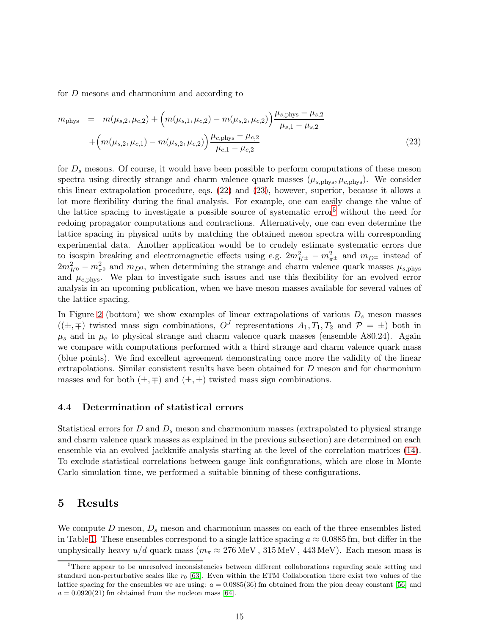for D mesons and charmonium and according to

<span id="page-15-1"></span>
$$
m_{\text{phys}} = m(\mu_{s,2}, \mu_{c,2}) + \left( m(\mu_{s,1}, \mu_{c,2}) - m(\mu_{s,2}, \mu_{c,2}) \right) \frac{\mu_{s,\text{phys}} - \mu_{s,2}}{\mu_{s,1} - \mu_{s,2}} + \left( m(\mu_{s,2}, \mu_{c,1}) - m(\mu_{s,2}, \mu_{c,2}) \right) \frac{\mu_{c,\text{phys}} - \mu_{c,2}}{\mu_{c,1} - \mu_{c,2}} \tag{23}
$$

for  $D_s$  mesons. Of course, it would have been possible to perform computations of these meson spectra using directly strange and charm valence quark masses  $(\mu_{s,phys}, \mu_{c,phys})$ . We consider this linear extrapolation procedure, eqs. [\(22\)](#page-14-1) and [\(23\)](#page-15-1), however, superior, because it allows a lot more flexibility during the final analysis. For example, one can easily change the value of the lattice spacing to investigate a possible source of systematic error[5](#page-15-2) without the need for redoing propagator computations and contractions. Alternatively, one can even determine the lattice spacing in physical units by matching the obtained meson spectra with corresponding experimental data. Another application would be to crudely estimate systematic errors due to isospin breaking and electromagnetic effects using e.g.  $2m_{K^{\pm}}^2 - m_{\pi^{\pm}}^2$  and  $m_{D^{\pm}}$  instead of  $2m_{K^0}^2 - m_{\pi^0}^2$  and  $m_{D^0}$ , when determining the strange and charm valence quark masses  $\mu_{s, \text{phys}}$ and  $\mu_{c,\text{phys}}$ . We plan to investigate such issues and use this flexibility for an evolved error analysis in an upcoming publication, when we have meson masses available for several values of the lattice spacing.

In Figure [2](#page-14-0) (bottom) we show examples of linear extrapolations of various  $D_s$  meson masses  $((\pm,\mp)$  twisted mass sign combinations,  $O<sup>J</sup>$  representations  $A<sub>1</sub>, T<sub>1</sub>, T<sub>2</sub>$  and  $P = \pm$ ) both in  $\mu_s$  and in  $\mu_c$  to physical strange and charm valence quark masses (ensemble A80.24). Again we compare with computations performed with a third strange and charm valence quark mass (blue points). We find excellent agreement demonstrating once more the validity of the linear extrapolations. Similar consistent results have been obtained for D meson and for charmonium masses and for both  $(\pm, \mp)$  and  $(\pm, \pm)$  twisted mass sign combinations.

### 4.4 Determination of statistical errors

Statistical errors for D and  $D_s$  meson and charmonium masses (extrapolated to physical strange and charm valence quark masses as explained in the previous subsection) are determined on each ensemble via an evolved jackknife analysis starting at the level of the correlation matrices [\(14\)](#page-9-3). To exclude statistical correlations between gauge link configurations, which are close in Monte Carlo simulation time, we performed a suitable binning of these configurations.

# <span id="page-15-0"></span>5 Results

We compute D meson,  $D_s$  meson and charmonium masses on each of the three ensembles listed in Table [1.](#page-4-0) These ensembles correspond to a single lattice spacing  $a \approx 0.0885$  fm, but differ in the unphysically heavy  $u/d$  quark mass ( $m_\pi \approx 276 \,\text{MeV}$ ,  $315 \,\text{MeV}$ ,  $443 \,\text{MeV}$ ). Each meson mass is

<span id="page-15-2"></span><sup>&</sup>lt;sup>5</sup>There appear to be unresolved inconsistencies between different collaborations regarding scale setting and standard non-perturbative scales like  $r_0$  [\[63\]](#page-40-15). Even within the ETM Collaboration there exist two values of the lattice spacing for the ensembles we are using:  $a = 0.0885(36)$  fm obtained from the pion decay constant [\[56\]](#page-40-8) and  $a = 0.0920(21)$  fm obtained from the nucleon mass [\[64\]](#page-41-0).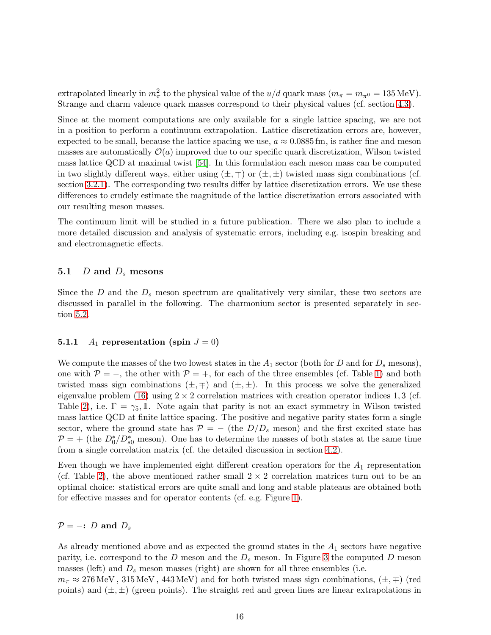extrapolated linearly in  $m_{\pi}^2$  to the physical value of the  $u/d$  quark mass  $(m_{\pi} = m_{\pi^0} = 135 \text{ MeV})$ . Strange and charm valence quark masses correspond to their physical values (cf. section [4.3\)](#page-13-0).

Since at the moment computations are only available for a single lattice spacing, we are not in a position to perform a continuum extrapolation. Lattice discretization errors are, however, expected to be small, because the lattice spacing we use,  $a \approx 0.0885$  fm, is rather fine and meson masses are automatically  $\mathcal{O}(a)$  improved due to our specific quark discretization, Wilson twisted mass lattice QCD at maximal twist [\[54\]](#page-40-6). In this formulation each meson mass can be computed in two slightly different ways, either using  $(\pm, \mp)$  or  $(\pm, \pm)$  twisted mass sign combinations (cf. section [3.2.1\)](#page-5-3). The corresponding two results differ by lattice discretization errors. We use these differences to crudely estimate the magnitude of the lattice discretization errors associated with our resulting meson masses.

The continuum limit will be studied in a future publication. There we also plan to include a more detailed discussion and analysis of systematic errors, including e.g. isospin breaking and and electromagnetic effects.

### <span id="page-16-0"></span>5.1  $D$  and  $D_s$  mesons

Since the  $D$  and the  $D<sub>s</sub>$  meson spectrum are qualitatively very similar, these two sectors are discussed in parallel in the following. The charmonium sector is presented separately in section [5.2.](#page-25-0)

### <span id="page-16-1"></span>**5.1.1**  $A_1$  representation (spin  $J = 0$ )

We compute the masses of the two lowest states in the  $A_1$  sector (both for D and for  $D_s$  mesons), one with  $P = -$ , the other with  $P = +$ , for each of the three ensembles (cf. Table [1\)](#page-4-0) and both twisted mass sign combinations  $(\pm, \mp)$  and  $(\pm, \pm)$ . In this process we solve the generalized eigenvalue problem [\(16\)](#page-11-3) using  $2 \times 2$  correlation matrices with creation operator indices 1, 3 (cf. Table [2\)](#page-6-0), i.e.  $\Gamma = \gamma_5$ , 1. Note again that parity is not an exact symmetry in Wilson twisted mass lattice QCD at finite lattice spacing. The positive and negative parity states form a single sector, where the ground state has  $P = -$  (the  $D/D_s$  meson) and the first excited state has  $\mathcal{P} = +$  (the  $D_0^*/D_{s0}^*$  meson). One has to determine the masses of both states at the same time from a single correlation matrix (cf. the detailed discussion in section [4.2\)](#page-10-0).

Even though we have implemented eight different creation operators for the  $A_1$  representation (cf. Table [2\)](#page-6-0), the above mentioned rather small  $2 \times 2$  correlation matrices turn out to be an optimal choice: statistical errors are quite small and long and stable plateaus are obtained both for effective masses and for operator contents (cf. e.g. Figure [1\)](#page-12-0).

### $\mathcal{P}$  = −: D and  $D_s$

As already mentioned above and as expected the ground states in the  $A_1$  sectors have negative parity, i.e. correspond to the  $D$  meson and the  $D_s$  meson. In Figure [3](#page-17-0) the computed  $D$  meson masses (left) and  $D_s$  meson masses (right) are shown for all three ensembles (i.e.

 $m_{\pi} \approx 276 \,\text{MeV}$ ,  $315 \,\text{MeV}$ ,  $443 \,\text{MeV}$ ) and for both twisted mass sign combinations,  $(\pm, \mp)$  (red points) and  $(\pm, \pm)$  (green points). The straight red and green lines are linear extrapolations in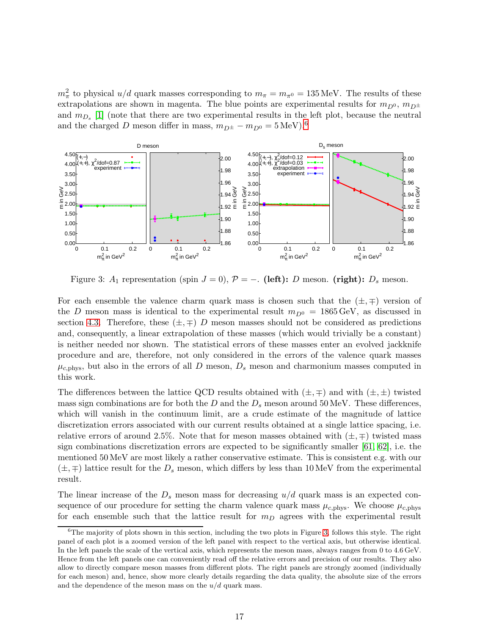$m_{\pi}^2$  to physical  $u/d$  quark masses corresponding to  $m_{\pi} = m_{\pi^0} = 135 \text{ MeV}$ . The results of these extrapolations are shown in magenta. The blue points are experimental results for  $m_{D^0}$ ,  $m_{D^{\pm}}$ and  $m_{D_s}$  [\[1\]](#page-37-0) (note that there are two experimental results in the left plot, because the neutral and the charged D meson differ in mass,  $m_{D^{\pm}} - m_{D^0} = 5 \text{ MeV}.^6$  $m_{D^{\pm}} - m_{D^0} = 5 \text{ MeV}.^6$ 

<span id="page-17-0"></span>

Figure 3: A<sub>1</sub> representation (spin  $J = 0$ ),  $P = -$ . (left): D meson. (right): D<sub>s</sub> meson.

For each ensemble the valence charm quark mass is chosen such that the  $(\pm, \mp)$  version of the D meson mass is identical to the experimental result  $m_{D^0} = 1865 \,\text{GeV}$ , as discussed in section [4.3.](#page-13-0) Therefore, these  $(\pm, \mp)$  D meson masses should not be considered as predictions and, consequently, a linear extrapolation of these masses (which would trivially be a constant) is neither needed nor shown. The statistical errors of these masses enter an evolved jackknife procedure and are, therefore, not only considered in the errors of the valence quark masses  $\mu_{c,\text{phys}}$ , but also in the errors of all D meson,  $D_s$  meson and charmonium masses computed in this work.

The differences between the lattice QCD results obtained with  $(\pm, \mp)$  and with  $(\pm, \pm)$  twisted mass sign combinations are for both the D and the  $D_s$  meson around 50 MeV. These differences, which will vanish in the continuum limit, are a crude estimate of the magnitude of lattice discretization errors associated with our current results obtained at a single lattice spacing, i.e. relative errors of around 2.5%. Note that for meson masses obtained with  $(\pm, \mp)$  twisted mass sign combinations discretization errors are expected to be significantly smaller [\[61,](#page-40-13) [62\]](#page-40-14), i.e. the mentioned 50 MeV are most likely a rather conservative estimate. This is consistent e.g. with our  $(\pm, \mp)$  lattice result for the  $D_s$  meson, which differs by less than 10 MeV from the experimental result.

The linear increase of the  $D_s$  meson mass for decreasing  $u/d$  quark mass is an expected consequence of our procedure for setting the charm valence quark mass  $\mu_{c,phys}$ . We choose  $\mu_{c,phys}$ for each ensemble such that the lattice result for  $m<sub>D</sub>$  agrees with the experimental result

<span id="page-17-1"></span> ${}^{6}$ The majority of plots shown in this section, including the two plots in Figure [3,](#page-17-0) follows this style. The right panel of each plot is a zoomed version of the left panel with respect to the vertical axis, but otherwise identical. In the left panels the scale of the vertical axis, which represents the meson mass, always ranges from 0 to 4.6 GeV. Hence from the left panels one can conveniently read off the relative errors and precision of our results. They also allow to directly compare meson masses from different plots. The right panels are strongly zoomed (individually for each meson) and, hence, show more clearly details regarding the data quality, the absolute size of the errors and the dependence of the meson mass on the  $u/d$  quark mass.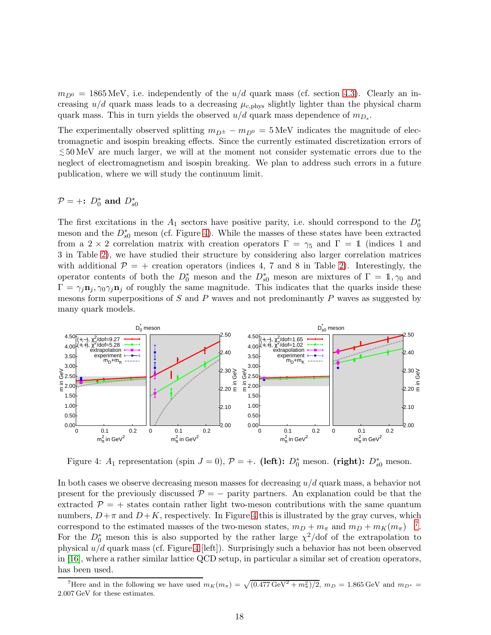$m_{D^0} = 1865$  MeV, i.e. independently of the  $u/d$  quark mass (cf. section [4.3\)](#page-13-0). Clearly an increasing  $u/d$  quark mass leads to a decreasing  $\mu_{c,phys}$  slightly lighter than the physical charm quark mass. This in turn yields the observed  $u/d$  quark mass dependence of  $m_{D_s}$ .

The experimentally observed splitting  $m_{D^{\pm}} - m_{D^{0}} = 5 \text{ MeV}$  indicates the magnitude of electromagnetic and isospin breaking effects. Since the currently estimated discretization errors of < <sup>∼</sup> 50 MeV are much larger, we will at the moment not consider systematic errors due to the neglect of electromagnetism and isospin breaking. We plan to address such errors in a future publication, where we will study the continuum limit.

# $\mathcal{P} = +: D_0^*$  and  $D_{s0}^*$

The first excitations in the  $A_1$  sectors have positive parity, i.e. should correspond to the  $D_0^*$ meson and the  $D_{s0}^*$  meson (cf. Figure [4\)](#page-18-0). While the masses of these states have been extracted from a 2 × 2 correlation matrix with creation operators  $\Gamma = \gamma_5$  and  $\Gamma = 1$  (indices 1 and 3 in Table [2\)](#page-6-0), we have studied their structure by considering also larger correlation matrices with additional  $\mathcal{P} = +$  creation operators (indices 4, 7 and 8 in Table [2\)](#page-6-0). Interestingly, the operator contents of both the  $D_0^*$  meson and the  $D_{s0}^*$  meson are mixtures of  $\Gamma = 1, \gamma_0$  and  $\Gamma = \gamma_j \mathbf{n}_j, \gamma_0 \gamma_j \mathbf{n}_j$  of roughly the same magnitude. This indicates that the quarks inside these mesons form superpositions of S and P waves and not predominantly P waves as suggested by many quark models.

<span id="page-18-0"></span>

Figure 4:  $A_1$  representation (spin  $J = 0$ ),  $P = +$ . (left):  $D_0^*$  meson. (right):  $D_{s0}^*$  meson.

In both cases we observe decreasing meson masses for decreasing  $u/d$  quark mass, a behavior not present for the previously discussed  $P = -$  parity partners. An explanation could be that the extracted  $\mathcal{P} = +$  states contain rather light two-meson contributions with the same quantum numbers,  $D+\pi$  and  $D+K$ , respectively. In Figure [4](#page-18-0) this is illustrated by the gray curves, which correspond to the estimated masses of the two-meson states,  $m_D + m_{\pi}$  and  $m_D + m_K(m_{\pi})$ <sup>[7](#page-18-1)</sup>. For the  $D_0^*$  meson this is also supported by the rather large  $\chi^2/dof$  of the extrapolation to physical  $u/d$  quark mass (cf. Figure [4](#page-18-0) [left]). Surprisingly such a behavior has not been observed in [\[16\]](#page-38-0), where a rather similar lattice QCD setup, in particular a similar set of creation operators, has been used.

<span id="page-18-1"></span><sup>&</sup>lt;sup>7</sup>Here and in the following we have used  $m_K(m_\pi) = \sqrt{(0.477 \text{ GeV}^2 + m_\pi^2)/2}$ ,  $m_D = 1.865 \text{ GeV}$  and  $m_{D^*} =$ 2.007 GeV for these estimates.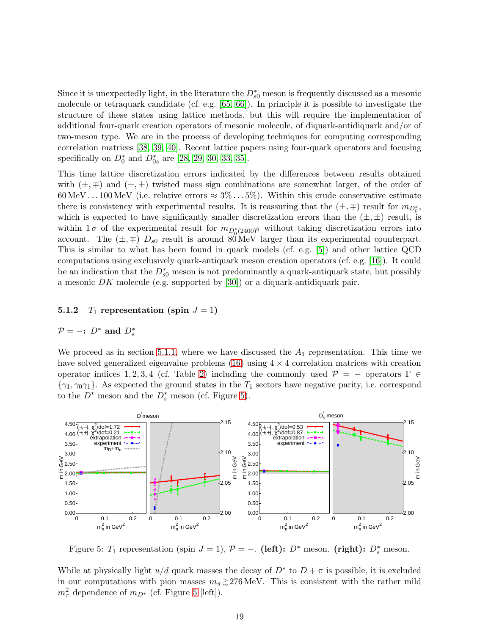Since it is unexpectedly light, in the literature the  $D_{s0}^*$  meson is frequently discussed as a mesonic molecule or tetraquark candidate (cf. e.g. [\[65,](#page-41-1) [66\]](#page-41-2)). In principle it is possible to investigate the structure of these states using lattice methods, but this will require the implementation of additional four-quark creation operators of mesonic molecule, of diquark-antidiquark and/or of two-meson type. We are in the process of developing techniques for computing corresponding correlation matrices [\[38,](#page-39-6) [39,](#page-39-7) [40\]](#page-39-8). Recent lattice papers using four-quark operators and focusing specifically on  $D_0^*$  and  $D_{0s}^*$  are [\[28,](#page-38-11) [29,](#page-38-12) [30,](#page-38-13) [33,](#page-39-1) [35\]](#page-39-3).

This time lattice discretization errors indicated by the differences between results obtained with  $(\pm, \mp)$  and  $(\pm, \pm)$  twisted mass sign combinations are somewhat larger, of the order of 60 MeV . . . 100 MeV (i.e. relative errors  $\approx 3\% \dots 5\%$ ). Within this crude conservative estimate there is consistency with experimental results. It is reassuring that the  $(\pm, \mp)$  result for  $m_{D_0^*}$ , which is expected to have significantly smaller discretization errors than the  $(\pm, \pm)$  result, is within  $1\sigma$  of the experimental result for  $m_{D_0^*(2400)^0}$  without taking discretization errors into account. The  $(\pm, \mp)$   $D_{s0}$  result is around 80 MeV larger than its experimental counterpart. This is similar to what has been found in quark models (cf. e.g. [\[5\]](#page-37-4)) and other lattice QCD computations using exclusively quark-antiquark meson creation operators (cf. e.g. [\[16\]](#page-38-0)). It could be an indication that the  $D_{s0}^*$  meson is not predominantly a quark-antiquark state, but possibly a mesonic  $DK$  molecule (e.g. supported by [\[30\]](#page-38-13)) or a diquark-antidiquark pair.

### <span id="page-19-1"></span>5.1.2  $T_1$  representation (spin  $J = 1$ )

# $\mathcal{P} = -\mathbf{i} D^*$  and  $D_s^*$

We proceed as in section [5.1.1,](#page-16-1) where we have discussed the  $A_1$  representation. This time we have solved generalized eigenvalue problems  $(16)$  using  $4 \times 4$  correlation matrices with creation operator indices 1, 2, 3, 4 (cf. Table [2\)](#page-6-0) including the commonly used  $\mathcal{P} = -$  operators  $\Gamma \in$  $\{\gamma_1,\gamma_0\gamma_1\}$ . As expected the ground states in the  $T_1$  sectors have negative parity, i.e. correspond to the  $D^*$  meson and the  $D_s^*$  meson (cf. Figure [5\)](#page-19-0).

<span id="page-19-0"></span>

Figure 5:  $T_1$  representation (spin  $J = 1$ ),  $P = -$ . (left):  $D^*$  meson. (right):  $D_s^*$  meson.

While at physically light  $u/d$  quark masses the decay of  $D^*$  to  $D + \pi$  is possible, it is excluded in our computations with pion masses  $m_{\pi} \gtrsim 276 \text{ MeV}$ . This is consistent with the rather mild  $m_{\pi}^2$  dependence of  $m_{D^*}$  (cf. Figure [5](#page-19-0) [left]).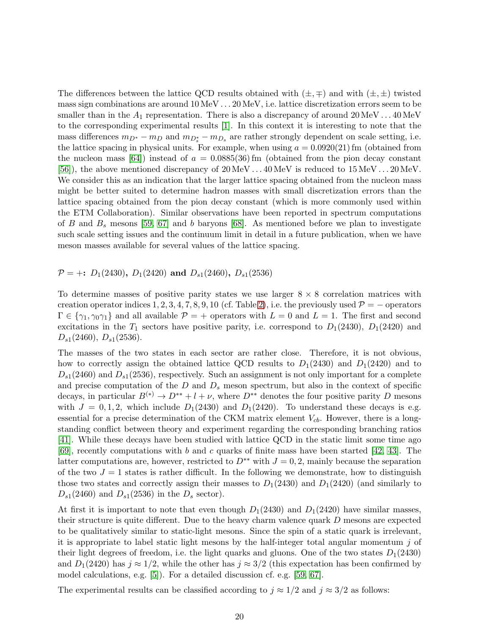The differences between the lattice QCD results obtained with  $(\pm, \mp)$  and with  $(\pm, \pm)$  twisted mass sign combinations are around 10 MeV . . . 20 MeV, i.e. lattice discretization errors seem to be smaller than in the  $A_1$  representation. There is also a discrepancy of around  $20 \,\text{MeV} \dots 40 \,\text{MeV}$ to the corresponding experimental results [\[1\]](#page-37-0). In this context it is interesting to note that the mass differences  $m_{D^*} - m_D$  and  $m_{D_s^*} - m_{D_s}$  are rather strongly dependent on scale setting, i.e. the lattice spacing in physical units. For example, when using  $a = 0.0920(21)$  fm (obtained from the nucleon mass [\[64\]](#page-41-0)) instead of  $a = 0.0885(36)$  fm (obtained from the pion decay constant [\[56\]](#page-40-8)), the above mentioned discrepancy of 20 MeV . . . 40 MeV is reduced to 15 MeV . . . 20 MeV. We consider this as an indication that the larger lattice spacing obtained from the nucleon mass might be better suited to determine hadron masses with small discretization errors than the lattice spacing obtained from the pion decay constant (which is more commonly used within the ETM Collaboration). Similar observations have been reported in spectrum computations of B and  $B_s$  mesons [\[59,](#page-40-11) [67\]](#page-41-3) and b baryons [\[68\]](#page-41-4). As mentioned before we plan to investigate such scale setting issues and the continuum limit in detail in a future publication, when we have meson masses available for several values of the lattice spacing.

 $P = +: D_1(2430), D_1(2420)$  and  $D_{s1}(2460), D_{s1}(2536)$ 

To determine masses of positive parity states we use larger  $8 \times 8$  correlation matrices with creation operator indices 1, 2, 3, 4, 7, 8, 9, 10 (cf. Table [2\)](#page-6-0), i.e. the previously used  $\mathcal{P} = -$  operators  $\Gamma \in \{\gamma_1, \gamma_0\gamma_1\}$  and all available  $\mathcal{P} = +$  operators with  $L = 0$  and  $L = 1$ . The first and second excitations in the  $T_1$  sectors have positive parity, i.e. correspond to  $D_1(2430)$ ,  $D_1(2420)$  and  $D_{s1}(2460), D_{s1}(2536).$ 

The masses of the two states in each sector are rather close. Therefore, it is not obvious, how to correctly assign the obtained lattice QCD results to  $D_1(2430)$  and  $D_1(2420)$  and to  $D_{s1}(2460)$  and  $D_{s1}(2536)$ , respectively. Such an assignment is not only important for a complete and precise computation of the  $D$  and  $D_s$  meson spectrum, but also in the context of specific decays, in particular  $B^{(*)} \to D^{**} + l + \nu$ , where  $D^{**}$  denotes the four positive parity D mesons with  $J = 0, 1, 2$ , which include  $D_1(2430)$  and  $D_1(2420)$ . To understand these decays is e.g. essential for a precise determination of the CKM matrix element  $V_{cb}$ . However, there is a longstanding conflict between theory and experiment regarding the corresponding branching ratios [\[41\]](#page-39-9). While these decays have been studied with lattice QCD in the static limit some time ago [\[69\]](#page-41-5), recently computations with b and c quarks of finite mass have been started [\[42,](#page-39-10) [43\]](#page-39-11). The latter computations are, however, restricted to  $D^{**}$  with  $J = 0, 2$ , mainly because the separation of the two  $J = 1$  states is rather difficult. In the following we demonstrate, how to distinguish those two states and correctly assign their masses to  $D_1(2430)$  and  $D_1(2420)$  (and similarly to  $D_{s1}(2460)$  and  $D_{s1}(2536)$  in the  $D_s$  sector).

At first it is important to note that even though  $D_1(2430)$  and  $D_1(2420)$  have similar masses, their structure is quite different. Due to the heavy charm valence quark D mesons are expected to be qualitatively similar to static-light mesons. Since the spin of a static quark is irrelevant, it is appropriate to label static light mesons by the half-integer total angular momentum  $j$  of their light degrees of freedom, i.e. the light quarks and gluons. One of the two states  $D_1(2430)$ and  $D_1(2420)$  has  $j \approx 1/2$ , while the other has  $j \approx 3/2$  (this expectation has been confirmed by model calculations, e.g. [\[5\]](#page-37-4)). For a detailed discussion cf. e.g. [\[59,](#page-40-11) [67\]](#page-41-3).

The experimental results can be classified according to  $j \approx 1/2$  and  $j \approx 3/2$  as follows: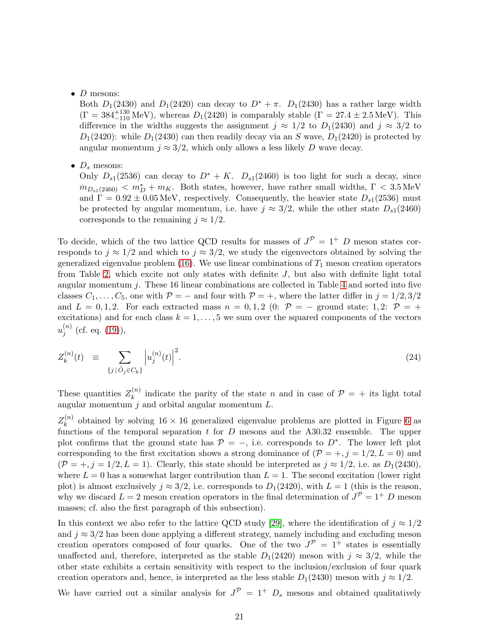### $\bullet$  D mesons:

Both  $D_1(2430)$  and  $D_1(2420)$  can decay to  $D^* + \pi$ .  $D_1(2430)$  has a rather large width  $(\Gamma = 384^{+130}_{-110} \text{ MeV})$ , whereas  $D_1(2420)$  is comparably stable  $(\Gamma = 27.4 \pm 2.5 \text{ MeV})$ . This difference in the widths suggests the assignment  $j \approx 1/2$  to  $D_1(2430)$  and  $j \approx 3/2$  to  $D_1(2420)$ : while  $D_1(2430)$  can then readily decay via an S wave,  $D_1(2420)$  is protected by angular momentum  $j \approx 3/2$ , which only allows a less likely D wave decay.

•  $D_s$  mesons:

Only  $D_{s1}(2536)$  can decay to  $D^* + K$ .  $D_{s1}(2460)$  is too light for such a decay, since  $m_{D_{s1}(2460)} < m_D^* + m_K$ . Both states, however, have rather small widths,  $\Gamma < 3.5 \,\text{MeV}$ and  $\Gamma = 0.92 \pm 0.05 \,\text{MeV}$ , respectively. Consequently, the heavier state  $D_{s1}(2536)$  must be protected by angular momentum, i.e. have  $j \approx 3/2$ , while the other state  $D_{s1}(2460)$ corresponds to the remaining  $j \approx 1/2$ .

To decide, which of the two lattice QCD results for masses of  $J^{\mathcal{P}} = 1^+$  D meson states corresponds to  $j \approx 1/2$  and which to  $j \approx 3/2$ , we study the eigenvectors obtained by solving the generalized eigenvalue problem [\(16\)](#page-11-3). We use linear combinations of  $T_1$  meson creation operators from Table [2,](#page-6-0) which excite not only states with definite  $J$ , but also with definite light total angular momentum  $j$ . These 16 linear combinations are collected in Table [4](#page-22-0) and sorted into five classes  $C_1, \ldots, C_5$ , one with  $\mathcal{P} = -$  and four with  $\mathcal{P} = +$ , where the latter differ in  $j = 1/2, 3/2$ and  $L = 0, 1, 2$ . For each extracted mass  $n = 0, 1, 2$  (0:  $\mathcal{P} = -$  ground state; 1, 2:  $\mathcal{P} = +$ excitations) and for each class  $k = 1, \ldots, 5$  we sum over the squared components of the vectors  $u_i^{(n)}$  $j^{(n)}$  (cf. eq. [\(19\)](#page-12-1)),

$$
Z_k^{(n)}(t) \equiv \sum_{\{j \mid \hat{O}_j \in C_k\}} \left| u_j^{(n)}(t) \right|^2. \tag{24}
$$

These quantities  $Z_k^{(n)}$  $\binom{n}{k}$  indicate the parity of the state *n* and in case of  $\mathcal{P} = +$  its light total angular momentum  $j$  and orbital angular momentum  $L$ .

 $Z^{(n)}_k$  $\kappa^{(n)}$  obtained by solving 16 × 16 generalized eigenvalue problems are plotted in Figure [6](#page-23-0) as functions of the temporal separation  $t$  for  $D$  mesons and the A30.32 ensemble. The upper plot confirms that the ground state has  $P = -$ , i.e. corresponds to  $D^*$ . The lower left plot corresponding to the first excitation shows a strong dominance of  $(\mathcal{P} = +, j = 1/2, L = 0)$  and  $(\mathcal{P} = +, j = 1/2, L = 1)$ . Clearly, this state should be interpreted as  $j \approx 1/2$ , i.e. as  $D_1(2430)$ , where  $L = 0$  has a somewhat larger contribution than  $L = 1$ . The second excitation (lower right plot) is almost exclusively  $j \approx 3/2$ , i.e. corresponds to  $D_1(2420)$ , with  $L = 1$  (this is the reason, why we discard  $L = 2$  meson creation operators in the final determination of  $J^{\mathcal{P}} = 1^+ D$  meson masses; cf. also the first paragraph of this subsection).

In this context we also refer to the lattice QCD study [\[29\]](#page-38-12), where the identification of  $j \approx 1/2$ and  $j \approx 3/2$  has been done applying a different strategy, namely including and excluding meson creation operators composed of four quarks. One of the two  $J^{\mathcal{P}} = 1^+$  states is essentially unaffected and, therefore, interpreted as the stable  $D_1(2420)$  meson with  $j \approx 3/2$ , while the other state exhibits a certain sensitivity with respect to the inclusion/exclusion of four quark creation operators and, hence, is interpreted as the less stable  $D_1(2430)$  meson with  $j \approx 1/2$ .

We have carried out a similar analysis for  $J^{\mathcal{P}} = 1^+$   $D_s$  mesons and obtained qualitatively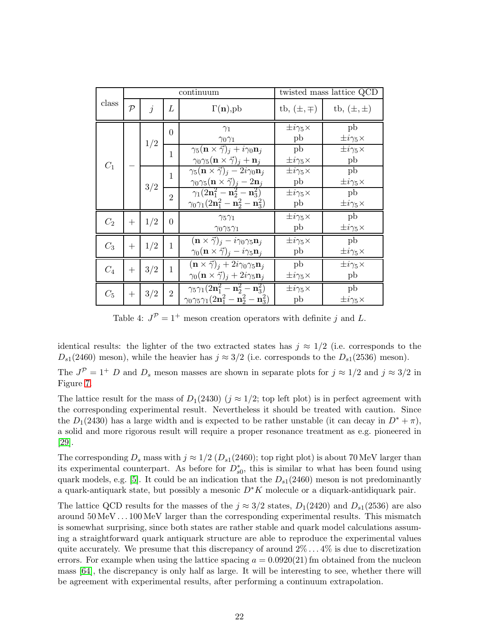<span id="page-22-0"></span>

|       |                            |     |                | continuum                                                                                                                                       | twisted mass lattice QCD    |                             |  |
|-------|----------------------------|-----|----------------|-------------------------------------------------------------------------------------------------------------------------------------------------|-----------------------------|-----------------------------|--|
| class | $\mathcal{P}$<br>$\dot{j}$ |     | L              | $\Gamma(n)$ ,pb                                                                                                                                 | tb, $(\pm, \mp)$            | tb, $(\pm, \pm)$            |  |
|       |                            | 1/2 | $\theta$       | $\gamma_1$<br>$\gamma_0\gamma_1$                                                                                                                | $\pm i\gamma_5\times$<br>pb | pb<br>$\pm i\gamma_5\times$ |  |
| $C_1$ |                            |     | 1              | $\gamma_5(\mathbf{n} \times \vec{\gamma})_i + i \gamma_0 \mathbf{n}_i$<br>$\gamma_0\gamma_5(\mathbf{n}\times\vec{\gamma})_i+\mathbf{n}_i$       | pb<br>$\pm i\gamma_5\times$ | $\pm i\gamma_5\times$<br>pb |  |
|       |                            | 3/2 | $\mathbf{1}$   | $\gamma_5(\mathbf{n}\times\vec{\gamma})_i-2i\gamma_0\mathbf{n}_i$<br>$\gamma_0\gamma_5(\mathbf{n}\times\vec{\gamma})_j-2\mathbf{n}_j$           | $\pm i\gamma_5\times$<br>pb | pb<br>$\pm i\gamma_5\times$ |  |
|       |                            |     | $\overline{2}$ | $\gamma_1(2n_1^2 - n_2^2 - n_3^2)$<br>$\gamma_0\gamma_1(2{\bf n}_1^2-{\bf n}_2^2-{\bf n}_3^2)$                                                  | $\pm i\gamma_5\times$<br>pb | pb<br>$\pm i\gamma_5\times$ |  |
| $C_2$ | $^{+}$                     | 1/2 | $\Omega$       | $\gamma_5\gamma_1$<br>$\gamma_0\gamma_5\gamma_1$                                                                                                | $\pm i\gamma_5\times$<br>pb | pb<br>$\pm i\gamma_5\times$ |  |
| $C_3$ | $+$                        | 1/2 | $\mathbf{1}$   | $(\mathbf{n} \times \vec{\gamma})_j - i \gamma_0 \gamma_5 \mathbf{n}_j$<br>$\gamma_0(\mathbf{n}\times\vec{\gamma})_i - i\gamma_5\mathbf{n}_i$   | $\pm i\gamma_5\times$<br>pb | pb<br>$\pm i\gamma_5\times$ |  |
| $C_4$ | $+$                        | 3/2 | $\mathbf{1}$   | $(\mathbf{n} \times \vec{\gamma})_i + 2i\gamma_0\gamma_5\mathbf{n}_i$<br>$\gamma_0(\mathbf{n} \times \vec{\gamma})_j + 2i\gamma_5 \mathbf{n}_j$ | pb<br>$\pm i\gamma_5\times$ | $\pm i\gamma_5\times$<br>pb |  |
| $C_5$ |                            | 3/2 | $\overline{2}$ | $\gamma_5\gamma_1(2{\bf n}_1^2-{\bf n}_2^2-{\bf n}_3^2)$<br>$\gamma_0\gamma_5\gamma_1(2{\bf n}_1^2-{\bf n}_2^2-{\bf n}_3^2)$                    | $\pm i\gamma_5\times$<br>pb | pb<br>$\pm i\gamma_5\times$ |  |

Table 4:  $J^{\mathcal{P}} = 1^+$  meson creation operators with definite j and L.

identical results: the lighter of the two extracted states has  $j \approx 1/2$  (i.e. corresponds to the  $D_{s1}(2460)$  meson), while the heavier has  $j \approx 3/2$  (i.e. corresponds to the  $D_{s1}(2536)$  meson).

The  $J^{\mathcal{P}} = 1^+$  D and  $D_s$  meson masses are shown in separate plots for  $j \approx 1/2$  and  $j \approx 3/2$  in Figure [7.](#page-24-0)

The lattice result for the mass of  $D_1(2430)$  ( $j \approx 1/2$ ; top left plot) is in perfect agreement with the corresponding experimental result. Nevertheless it should be treated with caution. Since the  $D_1(2430)$  has a large width and is expected to be rather unstable (it can decay in  $D^* + \pi$ ), a solid and more rigorous result will require a proper resonance treatment as e.g. pioneered in [\[29\]](#page-38-12).

The corresponding  $D_s$  mass with  $j \approx 1/2$  ( $D_{s1}(2460)$ ; top right plot) is about 70 MeV larger than its experimental counterpart. As before for  $D_{s0}^*$ , this is similar to what has been found using quark models, e.g. [\[5\]](#page-37-4). It could be an indication that the  $D_{s1}(2460)$  meson is not predominantly a quark-antiquark state, but possibly a mesonic  $D^*K$  molecule or a diquark-antidiquark pair.

The lattice QCD results for the masses of the  $j \approx 3/2$  states,  $D_1(2420)$  and  $D_{s1}(2536)$  are also around 50 MeV . . . 100 MeV larger than the corresponding experimental results. This mismatch is somewhat surprising, since both states are rather stable and quark model calculations assuming a straightforward quark antiquark structure are able to reproduce the experimental values quite accurately. We presume that this discrepancy of around  $2\% \dots 4\%$  is due to discretization errors. For example when using the lattice spacing  $a = 0.0920(21)$  fm obtained from the nucleon mass [\[64\]](#page-41-0), the discrepancy is only half as large. It will be interesting to see, whether there will be agreement with experimental results, after performing a continuum extrapolation.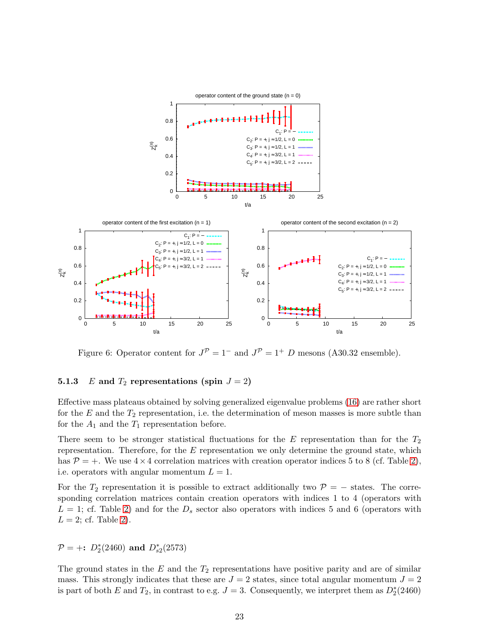<span id="page-23-0"></span>

Figure 6: Operator content for  $J^{\mathcal{P}} = 1^-$  and  $J^{\mathcal{P}} = 1^+$  D mesons (A30.32 ensemble).

### **5.1.3** E and  $T_2$  representations (spin  $J = 2$ )

Effective mass plateaus obtained by solving generalized eigenvalue problems [\(16\)](#page-11-3) are rather short for the  $E$  and the  $T_2$  representation, i.e. the determination of meson masses is more subtle than for the  $A_1$  and the  $T_1$  representation before.

There seem to be stronger statistical fluctuations for the  $E$  representation than for the  $T_2$ representation. Therefore, for the  $E$  representation we only determine the ground state, which has  $P = +$ . We use  $4 \times 4$  correlation matrices with creation operator indices 5 to 8 (cf. Table [2\)](#page-6-0), i.e. operators with angular momentum  $L = 1$ .

For the  $T_2$  representation it is possible to extract additionally two  $P = -$  states. The corresponding correlation matrices contain creation operators with indices 1 to 4 (operators with  $L = 1$ ; cf. Table [2\)](#page-6-0) and for the  $D<sub>s</sub>$  sector also operators with indices 5 and 6 (operators with  $L = 2$ ; cf. Table [2\)](#page-6-0).

 $\mathcal{P} = +: D_2^*(2460) \text{ and } D_{s2}^*(2573)$ 

The ground states in the  $E$  and the  $T_2$  representations have positive parity and are of similar mass. This strongly indicates that these are  $J = 2$  states, since total angular momentum  $J = 2$ is part of both E and  $T_2$ , in contrast to e.g.  $J = 3$ . Consequently, we interpret them as  $D_2^*(2460)$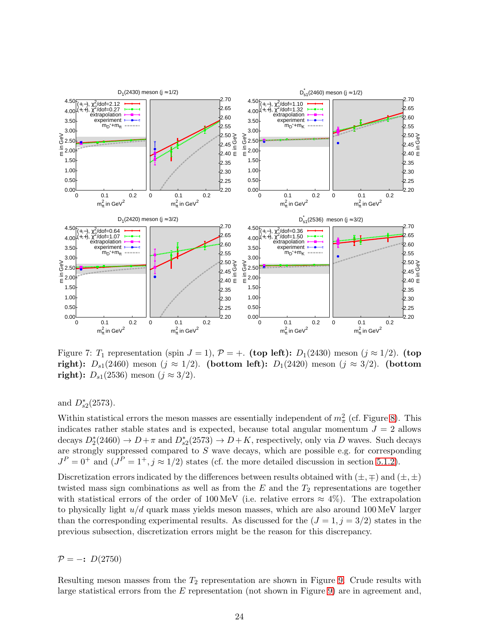<span id="page-24-0"></span>

Figure 7:  $T_1$  representation (spin  $J = 1$ ),  $P = +$ . (top left):  $D_1(2430)$  meson ( $j \approx 1/2$ ). (top right):  $D_{s1}(2460)$  meson ( $j \approx 1/2$ ). (bottom left):  $D_1(2420)$  meson ( $j \approx 3/2$ ). (bottom **right):**  $D_{s1}(2536)$  meson ( $j ≈ 3/2$ ).

and  $D_{s2}^*(2573)$ .

Within statistical errors the meson masses are essentially independent of  $m_{\pi}^2$  (cf. Figure [8\)](#page-25-1). This indicates rather stable states and is expected, because total angular momentum  $J = 2$  allows decays  $D_2^*(2460) \to D + \pi$  and  $D_{s2}^*(2573) \to D + K$ , respectively, only via D waves. Such decays are strongly suppressed compared to S wave decays, which are possible e.g. for corresponding  $J<sup>P</sup> = 0<sup>+</sup>$  and  $(J<sup>P</sup> = 1<sup>+</sup>, j \approx 1/2)$  states (cf. the more detailed discussion in section [5.1.2\)](#page-19-1).

Discretization errors indicated by the differences between results obtained with  $(\pm, \mp)$  and  $(\pm, \pm)$ twisted mass sign combinations as well as from the  $E$  and the  $T_2$  representations are together with statistical errors of the order of 100 MeV (i.e. relative errors  $\approx 4\%$ ). The extrapolation to physically light  $u/d$  quark mass yields meson masses, which are also around 100 MeV larger than the corresponding experimental results. As discussed for the  $(J = 1, j = 3/2)$  states in the previous subsection, discretization errors might be the reason for this discrepancy.

 $P = -: D(2750)$ 

Resulting meson masses from the  $T_2$  representation are shown in Figure [9.](#page-25-2) Crude results with large statistical errors from the E representation (not shown in Figure [9\)](#page-25-2) are in agreement and,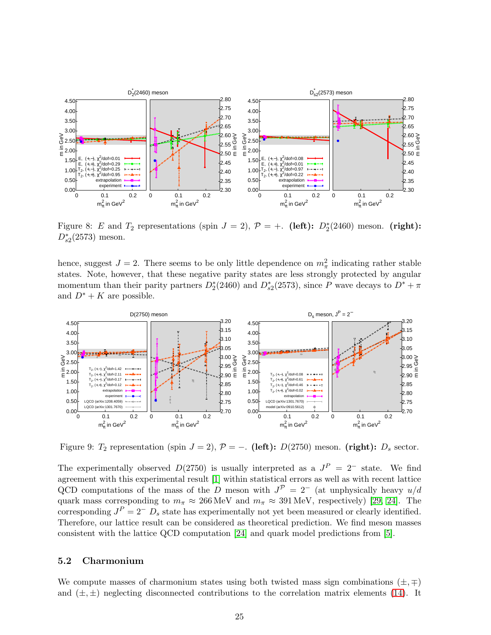<span id="page-25-1"></span>

Figure 8: E and  $T_2$  representations (spin  $J = 2$ ),  $\mathcal{P} = +$ . (left):  $D_2^*(2460)$  meson. (right):  $D_{s2}^*(2573)$  meson.

hence, suggest  $J = 2$ . There seems to be only little dependence on  $m_{\pi}^2$  indicating rather stable states. Note, however, that these negative parity states are less strongly protected by angular momentum than their parity partners  $D_2^*(2460)$  and  $D_{s2}^*(2573)$ , since P wave decays to  $D^* + \pi$ and  $D^* + K$  are possible.

<span id="page-25-2"></span>

Figure 9:  $T_2$  representation (spin  $J = 2$ ),  $P = -$ . (left):  $D(2750)$  meson. (right):  $D_s$  sector.

The experimentally observed  $D(2750)$  is usually interpreted as a  $J<sup>P</sup> = 2<sup>-</sup>$  state. We find agreement with this experimental result [\[1\]](#page-37-0) within statistical errors as well as with recent lattice QCD computations of the mass of the D meson with  $J^{\mathcal{P}} = 2^-$  (at unphysically heavy  $u/d$ quark mass corresponding to  $m_{\pi} \approx 266 \text{ MeV}$  and  $m_{\pi} \approx 391 \text{ MeV}$ , respectively) [\[29,](#page-38-12) [24\]](#page-38-8). The corresponding  $J^P = 2^ D_s$  state has experimentally not yet been measured or clearly identified. Therefore, our lattice result can be considered as theoretical prediction. We find meson masses consistent with the lattice QCD computation [\[24\]](#page-38-8) and quark model predictions from [\[5\]](#page-37-4).

### <span id="page-25-0"></span>5.2 Charmonium

We compute masses of charmonium states using both twisted mass sign combinations  $(\pm, \mp)$ and  $(\pm, \pm)$  neglecting disconnected contributions to the correlation matrix elements [\(14\)](#page-9-3). It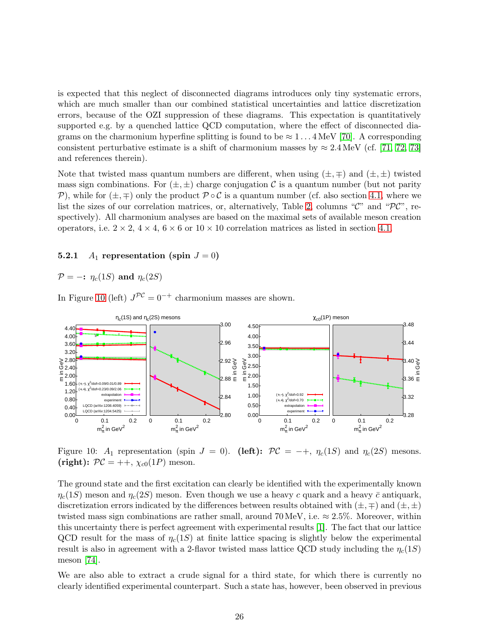is expected that this neglect of disconnected diagrams introduces only tiny systematic errors, which are much smaller than our combined statistical uncertainties and lattice discretization errors, because of the OZI suppression of these diagrams. This expectation is quantitatively supported e.g. by a quenched lattice QCD computation, where the effect of disconnected diagrams on the charmonium hyperfine splitting is found to be  $\approx 1 \dots 4 \,\text{MeV}$  [\[70\]](#page-41-6). A corresponding consistent perturbative estimate is a shift of charmonium masses by  $\approx 2.4 \,\text{MeV}$  (cf. [\[71,](#page-41-7) [72,](#page-41-8) [73\]](#page-41-9) and references therein).

Note that twisted mass quantum numbers are different, when using  $(\pm, \mp)$  and  $(\pm, \pm)$  twisted mass sign combinations. For  $(\pm, \pm)$  charge conjugation C is a quantum number (but not parity P), while for  $(\pm, \mp)$  only the product  $P \circ C$  is a quantum number (cf. also section [4.1,](#page-9-4) where we list the sizes of our correlation matrices, or, alternatively, Table [2,](#page-6-0) columns " $\mathcal{C}$ " and " $\mathcal{PC}$ ", respectively). All charmonium analyses are based on the maximal sets of available meson creation operators, i.e.  $2 \times 2$ ,  $4 \times 4$ ,  $6 \times 6$  or  $10 \times 10$  correlation matrices as listed in section [4.1.](#page-9-4)

#### 5.2.1  $A_1$  representation (spin  $J = 0$ )

 $\mathcal{P} = -\mathbf{i} \eta_c(1S)$  and  $\eta_c(2S)$ 

<span id="page-26-0"></span>In Figure [10](#page-26-0) (left)  $J^{PC} = 0^{-+}$  charmonium masses are shown.



Figure 10:  $A_1$  representation (spin  $J = 0$ ). (left):  $\mathcal{PC} = -+$ ,  $\eta_c(1S)$  and  $\eta_c(2S)$  mesons. (right):  $\mathcal{PC} = ++$ ,  $\chi_{c0}(1P)$  meson.

The ground state and the first excitation can clearly be identified with the experimentally known  $\eta_c(1S)$  meson and  $\eta_c(2S)$  meson. Even though we use a heavy c quark and a heavy c antiquark, discretization errors indicated by the differences between results obtained with  $(\pm, \mp)$  and  $(\pm, \pm)$ twisted mass sign combinations are rather small, around 70 MeV, i.e.  $\approx 2.5\%$ . Moreover, within this uncertainty there is perfect agreement with experimental results [\[1\]](#page-37-0). The fact that our lattice QCD result for the mass of  $\eta_c(1S)$  at finite lattice spacing is slightly below the experimental result is also in agreement with a 2-flavor twisted mass lattice QCD study including the  $\eta_c(1S)$ meson [\[74\]](#page-41-10).

We are also able to extract a crude signal for a third state, for which there is currently no clearly identified experimental counterpart. Such a state has, however, been observed in previous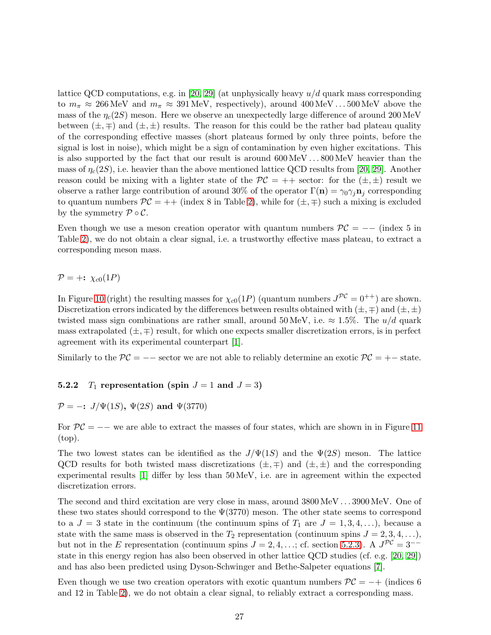lattice QCD computations, e.g. in [\[20,](#page-38-4) [29\]](#page-38-12) (at unphysically heavy  $u/d$  quark mass corresponding to  $m_{\pi} \approx 266 \text{ MeV}$  and  $m_{\pi} \approx 391 \text{ MeV}$ , respectively), around  $400 \text{ MeV} \dots 500 \text{ MeV}$  above the mass of the  $\eta_c(2S)$  meson. Here we observe an unexpectedly large difference of around 200 MeV between  $(\pm, \mp)$  and  $(\pm, \pm)$  results. The reason for this could be the rather bad plateau quality of the corresponding effective masses (short plateaus formed by only three points, before the signal is lost in noise), which might be a sign of contamination by even higher excitations. This is also supported by the fact that our result is around 600 MeV . . . 800 MeV heavier than the mass of  $\eta_c(2S)$ , i.e. heavier than the above mentioned lattice QCD results from [\[20,](#page-38-4) [29\]](#page-38-12). Another reason could be mixing with a lighter state of the  $\mathcal{PC} = ++$  sector: for the  $(\pm, \pm)$  result we observe a rather large contribution of around 30% of the operator  $\Gamma(\mathbf{n}) = \gamma_0 \gamma_j \mathbf{n}_j$  corresponding to quantum numbers  $\mathcal{PC} = ++$  (index 8 in Table [2\)](#page-6-0), while for  $(\pm, \mp)$  such a mixing is excluded by the symmetry  $\mathcal{P} \circ \mathcal{C}$ .

Even though we use a meson creation operator with quantum numbers  $\mathcal{PC} = --$  (index 5 in Table [2\)](#page-6-0), we do not obtain a clear signal, i.e. a trustworthy effective mass plateau, to extract a corresponding meson mass.

 $\mathcal{P} = +: \chi_{c0}(1P)$ 

In Figure [10](#page-26-0) (right) the resulting masses for  $\chi_{c0}(1P)$  (quantum numbers  $J^{PC} = 0^{++}$ ) are shown. Discretization errors indicated by the differences between results obtained with  $(\pm, \mp)$  and  $(\pm, \pm)$ twisted mass sign combinations are rather small, around 50 MeV, i.e.  $\approx 1.5\%$ . The  $u/d$  quark mass extrapolated  $(\pm, \mp)$  result, for which one expects smaller discretization errors, is in perfect agreement with its experimental counterpart [\[1\]](#page-37-0).

<span id="page-27-0"></span>Similarly to the  $\mathcal{PC} =$  – sector we are not able to reliably determine an exotic  $\mathcal{PC} =$  +– state.

### 5.2.2  $T_1$  representation (spin  $J = 1$  and  $J = 3$ )

$$
\mathcal{P} = -\mathbf{.} \ J/\Psi(1S), \ \Psi(2S) \ \text{and} \ \Psi(3770)
$$

For  $PC = -\epsilon$  we are able to extract the masses of four states, which are shown in in Figure [11](#page-28-0) (top).

The two lowest states can be identified as the  $J/\Psi(1S)$  and the  $\Psi(2S)$  meson. The lattice QCD results for both twisted mass discretizations  $(\pm, \mp)$  and  $(\pm, \pm)$  and the corresponding experimental results [\[1\]](#page-37-0) differ by less than 50 MeV, i.e. are in agreement within the expected discretization errors.

The second and third excitation are very close in mass, around  $3800 \,\text{MeV} \dots 3900 \,\text{MeV}$ . One of these two states should correspond to the  $\Psi(3770)$  meson. The other state seems to correspond to a  $J = 3$  state in the continuum (the continuum spins of  $T_1$  are  $J = 1, 3, 4, \ldots$ ), because a state with the same mass is observed in the  $T_2$  representation (continuum spins  $J = 2, 3, 4, \ldots$ ), but not in the E representation (continuum spins  $J = 2, 4, \dots$ ; cf. section [5.2.3\)](#page-28-1). A  $J^{\mathcal{PC}} = 3^{-+}$ state in this energy region has also been observed in other lattice QCD studies (cf. e.g. [\[20,](#page-38-4) [29\]](#page-38-12)) and has also been predicted using Dyson-Schwinger and Bethe-Salpeter equations [\[7\]](#page-37-6).

Even though we use two creation operators with exotic quantum numbers  $\mathcal{PC} = -+$  (indices 6) and 12 in Table [2\)](#page-6-0), we do not obtain a clear signal, to reliably extract a corresponding mass.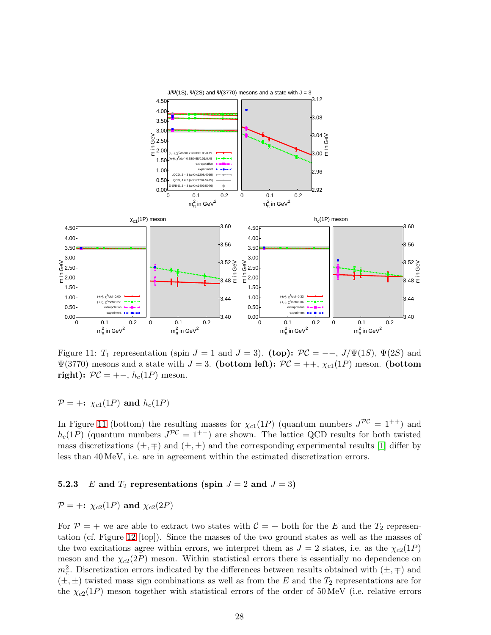<span id="page-28-0"></span>

Figure 11:  $T_1$  representation (spin  $J = 1$  and  $J = 3$ ). (top):  $\mathcal{PC} = -\frac{1}{\Psi(1S)}, \Psi(2S)$  and  $\Psi(3770)$  mesons and a state with  $J = 3$ . (bottom left):  $\mathcal{PC} = ++$ ,  $\chi_{c1}(1P)$  meson. (bottom right):  $\mathcal{PC} = +-, h_c(1P)$  meson.

 $P = +: \chi_{c1}(1P)$  and  $h_c(1P)$ 

In Figure [11](#page-28-0) (bottom) the resulting masses for  $\chi_{c1}(1P)$  (quantum numbers  $J^{PC} = 1^{++}$ ) and  $h_c(1P)$  (quantum numbers  $J^{PC} = 1^{+-}$ ) are shown. The lattice QCD results for both twisted mass discretizations  $(\pm, \mp)$  and  $(\pm, \pm)$  and the corresponding experimental results [\[1\]](#page-37-0) differ by less than 40 MeV, i.e. are in agreement within the estimated discretization errors.

### <span id="page-28-1"></span>**5.2.3** E and  $T_2$  representations (spin  $J = 2$  and  $J = 3$ )

$$
\mathcal{P} = +: \ \chi_{c2}(1P) \text{ and } \chi_{c2}(2P)
$$

For  $P = +$  we are able to extract two states with  $C = +$  both for the E and the  $T_2$  representation (cf. Figure [12](#page-29-0) [top]). Since the masses of the two ground states as well as the masses of the two excitations agree within errors, we interpret them as  $J = 2$  states, i.e. as the  $\chi_{c2}(1P)$ meson and the  $\chi_{c2}(2P)$  meson. Within statistical errors there is essentially no dependence on  $m_{\pi}^{2}$ . Discretization errors indicated by the differences between results obtained with  $(\pm, \mp)$  and  $(\pm, \pm)$  twisted mass sign combinations as well as from the E and the  $T_2$  representations are for the  $\chi_{c2}(1P)$  meson together with statistical errors of the order of 50 MeV (i.e. relative errors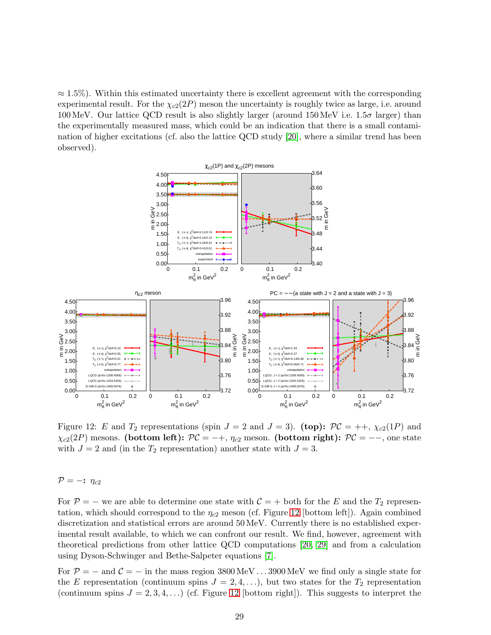$\approx 1.5\%$ ). Within this estimated uncertainty there is excellent agreement with the corresponding experimental result. For the  $\chi_{c2}(2P)$  meson the uncertainty is roughly twice as large, i.e. around 100 MeV. Our lattice QCD result is also slightly larger (around  $150$  MeV i.e.  $1.5\sigma$  larger) than the experimentally measured mass, which could be an indication that there is a small contamination of higher excitations (cf. also the lattice QCD study [\[20\]](#page-38-4), where a similar trend has been observed).

<span id="page-29-0"></span>

Figure 12: E and  $T_2$  representations (spin  $J = 2$  and  $J = 3$ ). (top):  $\mathcal{PC} = ++$ ,  $\chi_{c2}(1P)$  and  $\chi_{c2}(2P)$  mesons. (bottom left):  $\mathcal{PC} = -+$ ,  $\eta_{c2}$  meson. (bottom right):  $\mathcal{PC} = --$ , one state with  $J = 2$  and (in the  $T_2$  representation) another state with  $J = 3$ .

 $\mathcal{P} = -\mathbf{i} \eta_{c2}$ 

For  $P = -$  we are able to determine one state with  $C = +$  both for the E and the  $T_2$  representation, which should correspond to the  $\eta_{c2}$  meson (cf. Figure [12](#page-29-0) [bottom left]). Again combined discretization and statistical errors are around 50 MeV. Currently there is no established experimental result available, to which we can confront our result. We find, however, agreement with theoretical predictions from other lattice QCD computations [\[20,](#page-38-4) [29\]](#page-38-12) and from a calculation using Dyson-Schwinger and Bethe-Salpeter equations [\[7\]](#page-37-6).

For  $P = -$  and  $C = -$  in the mass region 3800 MeV . . . 3900 MeV we find only a single state for the E representation (continuum spins  $J = 2, 4, \ldots$ ), but two states for the  $T_2$  representation (continuum spins  $J = 2, 3, 4, \ldots$ ) (cf. Figure [12](#page-29-0) [bottom right]). This suggests to interpret the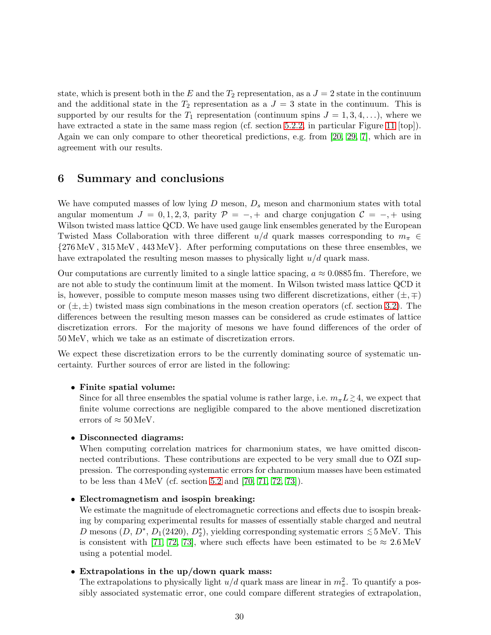state, which is present both in the E and the  $T_2$  representation, as a  $J = 2$  state in the continuum and the additional state in the  $T_2$  representation as a  $J = 3$  state in the continuum. This is supported by our results for the  $T_1$  representation (continuum spins  $J = 1, 3, 4, \ldots$ ), where we have extracted a state in the same mass region (cf. section [5.2.2,](#page-27-0) in particular Figure [11](#page-28-0) [top]). Again we can only compare to other theoretical predictions, e.g. from [\[20,](#page-38-4) [29,](#page-38-12) [7\]](#page-37-6), which are in agreement with our results.

# <span id="page-30-0"></span>6 Summary and conclusions

We have computed masses of low lying  $D$  meson,  $D<sub>s</sub>$  meson and charmonium states with total angular momentum  $J = 0, 1, 2, 3$ , parity  $\mathcal{P} = -, +$  and charge conjugation  $\mathcal{C} = -, +$  using Wilson twisted mass lattice QCD. We have used gauge link ensembles generated by the European Twisted Mass Collaboration with three different  $u/d$  quark masses corresponding to  $m_{\pi} \in$ {276 MeV , 315 MeV , 443 MeV}. After performing computations on these three ensembles, we have extrapolated the resulting meson masses to physically light  $u/d$  quark mass.

Our computations are currently limited to a single lattice spacing,  $a \approx 0.0885$  fm. Therefore, we are not able to study the continuum limit at the moment. In Wilson twisted mass lattice QCD it is, however, possible to compute meson masses using two different discretizations, either  $(\pm, \mp)$ or  $(\pm, \pm)$  twisted mass sign combinations in the meson creation operators (cf. section [3.2\)](#page-5-4). The differences between the resulting meson masses can be considered as crude estimates of lattice discretization errors. For the majority of mesons we have found differences of the order of 50 MeV, which we take as an estimate of discretization errors.

We expect these discretization errors to be the currently dominating source of systematic uncertainty. Further sources of error are listed in the following:

### • Finite spatial volume:

Since for all three ensembles the spatial volume is rather large, i.e.  $m_{\pi} L \gtrsim 4$ , we expect that finite volume corrections are negligible compared to the above mentioned discretization errors of  $\approx 50 \,\text{MeV}$ .

### • Disconnected diagrams:

When computing correlation matrices for charmonium states, we have omitted disconnected contributions. These contributions are expected to be very small due to OZI suppression. The corresponding systematic errors for charmonium masses have been estimated to be less than  $4 \text{ MeV}$  (cf. section [5.2](#page-25-0) and [\[70,](#page-41-6) [71,](#page-41-7) [72,](#page-41-8) [73\]](#page-41-9)).

#### • Electromagnetism and isospin breaking:

We estimate the magnitude of electromagnetic corrections and effects due to isospin breaking by comparing experimental results for masses of essentially stable charged and neutral D mesons  $(D, D^*, D_1(2420), D_2^*)$ , yielding corresponding systematic errors  $\leq 5 \text{ MeV}$ . This is consistent with [\[71,](#page-41-7) [72,](#page-41-8) [73\]](#page-41-9), where such effects have been estimated to be  $\approx 2.6 \,\text{MeV}$ using a potential model.

### • Extrapolations in the up/down quark mass:

The extrapolations to physically light  $u/d$  quark mass are linear in  $m_{\pi}^2$ . To quantify a possibly associated systematic error, one could compare different strategies of extrapolation,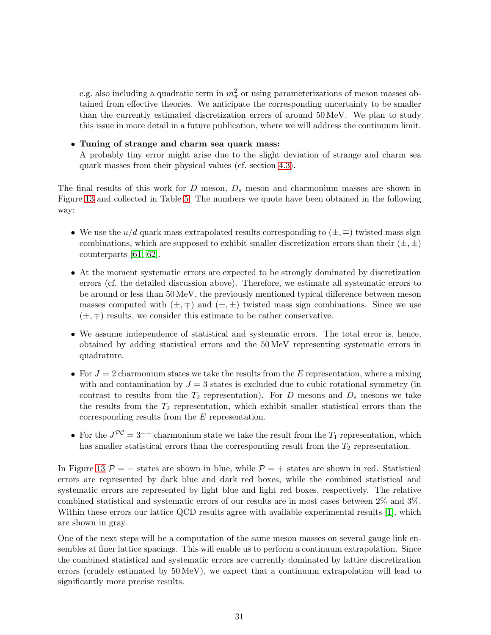e.g. also including a quadratic term in  $m_{\pi}^2$  or using parameterizations of meson masses obtained from effective theories. We anticipate the corresponding uncertainty to be smaller than the currently estimated discretization errors of around 50 MeV. We plan to study this issue in more detail in a future publication, where we will address the continuum limit.

### • Tuning of strange and charm sea quark mass:

A probably tiny error might arise due to the slight deviation of strange and charm sea quark masses from their physical values (cf. section [4.3\)](#page-13-0).

The final results of this work for  $D$  meson,  $D_s$  meson and charmonium masses are shown in Figure [13](#page-33-0) and collected in Table [5.](#page-32-0) The numbers we quote have been obtained in the following way:

- We use the  $u/d$  quark mass extrapolated results corresponding to  $(\pm, \mp)$  twisted mass sign combinations, which are supposed to exhibit smaller discretization errors than their  $(\pm, \pm)$ counterparts [\[61,](#page-40-13) [62\]](#page-40-14).
- At the moment systematic errors are expected to be strongly dominated by discretization errors (cf. the detailed discussion above). Therefore, we estimate all systematic errors to be around or less than 50 MeV, the previously mentioned typical difference between meson masses computed with  $(\pm, \mp)$  and  $(\pm, \pm)$  twisted mass sign combinations. Since we use  $(\pm, \mp)$  results, we consider this estimate to be rather conservative.
- We assume independence of statistical and systematic errors. The total error is, hence, obtained by adding statistical errors and the 50 MeV representing systematic errors in quadrature.
- For  $J = 2$  charmonium states we take the results from the E representation, where a mixing with and contamination by  $J = 3$  states is excluded due to cubic rotational symmetry (in contrast to results from the  $T_2$  representation). For D mesons and  $D_s$  mesons we take the results from the  $T_2$  representation, which exhibit smaller statistical errors than the corresponding results from the E representation.
- For the  $J^{PC} = 3^{--}$  charmonium state we take the result from the  $T_1$  representation, which has smaller statistical errors than the corresponding result from the  $T_2$  representation.

In Figure [13](#page-33-0)  $\mathcal{P} = -$  states are shown in blue, while  $\mathcal{P} = +$  states are shown in red. Statistical errors are represented by dark blue and dark red boxes, while the combined statistical and systematic errors are represented by light blue and light red boxes, respectively. The relative combined statistical and systematic errors of our results are in most cases between 2% and 3%. Within these errors our lattice QCD results agree with available experimental results [\[1\]](#page-37-0), which are shown in gray.

One of the next steps will be a computation of the same meson masses on several gauge link ensembles at finer lattice spacings. This will enable us to perform a continuum extrapolation. Since the combined statistical and systematic errors are currently dominated by lattice discretization errors (crudely estimated by 50 MeV), we expect that a continuum extrapolation will lead to significantly more precise results.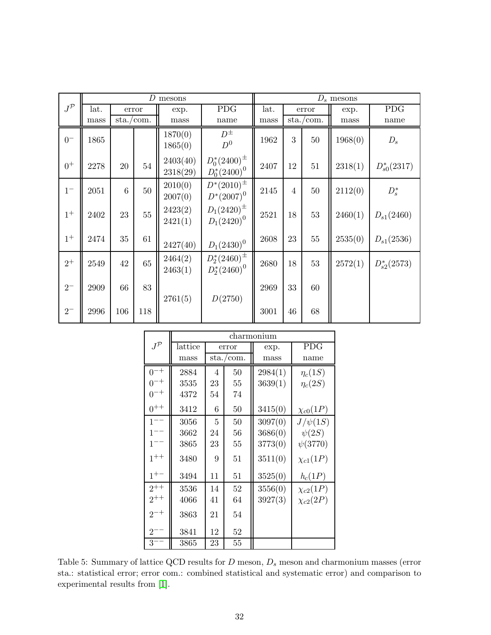<span id="page-32-0"></span>

|                   | D<br>mesons |                                   |        |                      |                                        |      | $D_s$ mesons   |                                   |         |                  |  |
|-------------------|-------------|-----------------------------------|--------|----------------------|----------------------------------------|------|----------------|-----------------------------------|---------|------------------|--|
| $J^{\mathcal{P}}$ | lat.        |                                   | error  | exp.                 | <b>PDG</b>                             | lat. |                | error                             | exp.    | <b>PDG</b>       |  |
|                   | mass        | $\frac{\text{sta.}}{\text{com.}}$ |        | mass                 | name                                   | mass |                | $\frac{\text{sta.}}{\text{com.}}$ | mass    | name             |  |
| $0-$              | 1865        |                                   |        | 1870(0)<br>1865(0)   | $D^{\pm}$<br>$D^0$                     | 1962 | 3              | $50\,$                            | 1968(0) | $D_s$            |  |
| $0^+$             | 2278        | 20                                | 54     | 2403(40)<br>2318(29) | $D_0^*(2400)^{\pm}$<br>$D_0^*(2400)^0$ | 2407 | 12             | 51                                | 2318(1) | $D_{s0}^*(2317)$ |  |
| $1-$              | 2051        | 6                                 | $50\,$ | 2010(0)<br>2007(0)   | $D^*(2010)^{\pm}$<br>$D^*(2007)^0$     | 2145 | $\overline{4}$ | $50\,$                            | 2112(0) | $D_s^*$          |  |
| $1^+$             | 2402        | 23                                | $55\,$ | 2423(2)<br>2421(1)   | $D_1(2420)^{\pm}$<br>$D_1(2420)^0$     | 2521 | 18             | 53                                | 2460(1) | $D_{s1}(2460)$   |  |
| $1^+$             | 2474        | 35                                | 61     | 2427(40)             | $D_1(2430)^0$                          | 2608 | 23             | $55\,$                            | 2535(0) | $D_{s1}(2536)$   |  |
| $2^+$             | 2549        | 42                                | 65     | 2464(2)<br>2463(1)   | $D_2^*(2460)^{\pm}$<br>$D_2^*(2460)^0$ | 2680 | 18             | $53\,$                            | 2572(1) | $D_{s2}^*(2573)$ |  |
| $2^{-}$           | 2909        | 66                                | 83     | 2761(5)              | D(2750)                                | 2969 | 33             | 60                                |         |                  |  |
| $2-$              | 2996        | 106                               | 118    |                      |                                        | 3001 | 46             | 68                                |         |                  |  |

|                   |         |                |           | charmonium |                 |  |  |
|-------------------|---------|----------------|-----------|------------|-----------------|--|--|
| $J^{\mathcal{P}}$ | lattice |                | error     | exp.       | <b>PDG</b>      |  |  |
|                   | mass    |                | sta./com. | mass       | name            |  |  |
| $0^{-+}$          | 2884    | $\overline{4}$ | 50        | 2984(1)    | $\eta_c(1S)$    |  |  |
| $0^{-+}$          | 3535    | 23             | 55        | 3639(1)    | $\eta_c(2S)$    |  |  |
| $0^{-+}$          | 4372    | 54             | 74        |            |                 |  |  |
| $0^{++}$          | 3412    | 6              | 50        | 3415(0)    | $\chi_{c0}(1P)$ |  |  |
| $1^{--}$          | 3056    | 5              | 50        | 3097(0)    | $J/\psi(1S)$    |  |  |
| $1^{--}$          | 3662    | 24             | 56        | 3686(0)    | $\psi(2S)$      |  |  |
| $1^{--}$          | 3865    | 23             | 55        | 3773(0)    | $\psi(3770)$    |  |  |
| $1^{++}$          | 3480    | 9              | 51        | 3511(0)    | $\chi_{c1}(1P)$ |  |  |
| $1^{+-}$          | 3494    | 11             | 51        | 3525(0)    | $h_c(1P)$       |  |  |
| $2^{++}$          | 3536    | 14             | 52        | 3556(0)    | $\chi_{c2}(1P)$ |  |  |
| $2^{++}$          | 4066    | 41             | 64        | 3927(3)    | $\chi_{c2}(2P)$ |  |  |
| $2^{-+}$          | 3863    | 21             | 54        |            |                 |  |  |
| $2^{\cdot}$       | 3841    | 12             | 52        |            |                 |  |  |
| $3^{\circ}$       | 3865    | 23             | 55        |            |                 |  |  |

Table 5: Summary of lattice QCD results for  $D$  meson,  $D_s$  meson and charmonium masses (error sta.: statistical error; error com.: combined statistical and systematic error) and comparison to experimental results from [\[1\]](#page-37-0).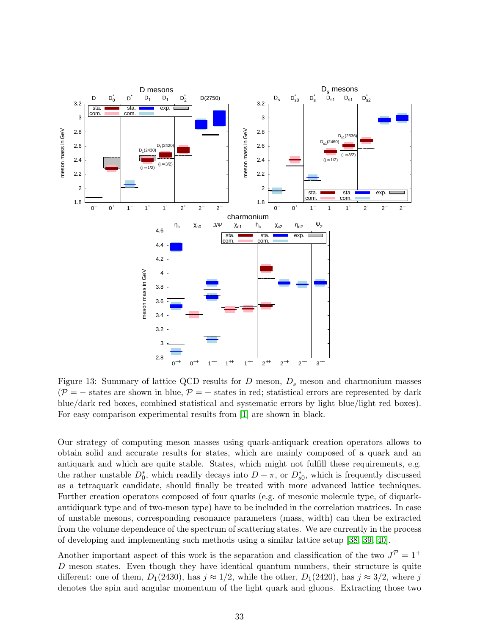<span id="page-33-0"></span>

Figure 13: Summary of lattice QCD results for  $D$  meson,  $D_s$  meson and charmonium masses  $(\mathcal{P} = -$  states are shown in blue,  $\mathcal{P} = +$  states in red; statistical errors are represented by dark blue/dark red boxes, combined statistical and systematic errors by light blue/light red boxes). For easy comparison experimental results from [\[1\]](#page-37-0) are shown in black.

Our strategy of computing meson masses using quark-antiquark creation operators allows to obtain solid and accurate results for states, which are mainly composed of a quark and an antiquark and which are quite stable. States, which might not fulfill these requirements, e.g. the rather unstable  $D_0^*$ , which readily decays into  $D + \pi$ , or  $D_{s0}^*$ , which is frequently discussed as a tetraquark candidate, should finally be treated with more advanced lattice techniques. Further creation operators composed of four quarks (e.g. of mesonic molecule type, of diquarkantidiquark type and of two-meson type) have to be included in the correlation matrices. In case of unstable mesons, corresponding resonance parameters (mass, width) can then be extracted from the volume dependence of the spectrum of scattering states. We are currently in the process of developing and implementing such methods using a similar lattice setup [\[38,](#page-39-6) [39,](#page-39-7) [40\]](#page-39-8).

Another important aspect of this work is the separation and classification of the two  $J^{\mathcal{P}} = 1^+$ D meson states. Even though they have identical quantum numbers, their structure is quite different: one of them,  $D_1(2430)$ , has  $j \approx 1/2$ , while the other,  $D_1(2420)$ , has  $j \approx 3/2$ , where j denotes the spin and angular momentum of the light quark and gluons. Extracting those two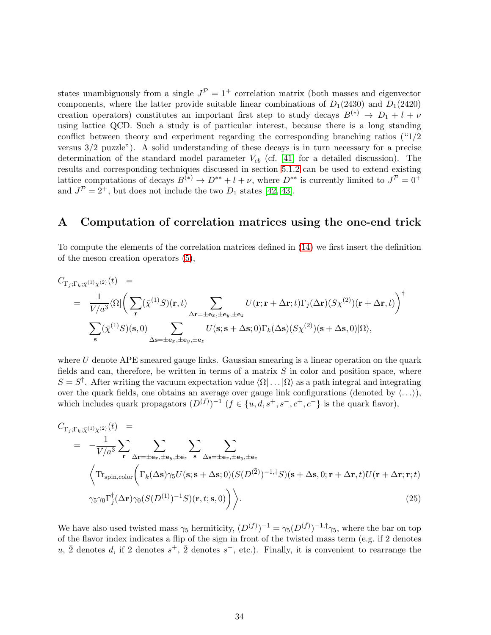states unambiguously from a single  $J^{\mathcal{P}} = 1^+$  correlation matrix (both masses and eigenvector components, where the latter provide suitable linear combinations of  $D_1(2430)$  and  $D_1(2420)$ creation operators) constitutes an important first step to study decays  $B^{(*)} \to D_1 + l + \nu$ using lattice QCD. Such a study is of particular interest, because there is a long standing conflict between theory and experiment regarding the corresponding branching ratios  $(1/2)$ versus 3/2 puzzle"). A solid understanding of these decays is in turn necessary for a precise determination of the standard model parameter  $V_{cb}$  (cf. [\[41\]](#page-39-9) for a detailed discussion). The results and corresponding techniques discussed in section [5.1.2](#page-19-1) can be used to extend existing lattice computations of decays  $B^{(*)} \to D^{**} + l + \nu$ , where  $D^{**}$  is currently limited to  $J^{\mathcal{P}} = 0^+$ and  $J^{\mathcal{P}} = 2^+$ , but does not include the two  $D_1$  states [\[42,](#page-39-10) [43\]](#page-39-11).

### <span id="page-34-0"></span>A Computation of correlation matrices using the one-end trick

To compute the elements of the correlation matrices defined in [\(14\)](#page-9-3) we first insert the definition of the meson creation operators [\(5\)](#page-5-1),

$$
C_{\Gamma_j;\Gamma_k;\bar{\chi}^{(1)}\chi^{(2)}}(t) =
$$
  
\n
$$
= \frac{1}{V/a^3} \langle \Omega | \left( \sum_{\mathbf{r}} (\bar{\chi}^{(1)}S)(\mathbf{r},t) \sum_{\Delta \mathbf{r}=\pm \mathbf{e}_x, \pm \mathbf{e}_y, \pm \mathbf{e}_z} U(\mathbf{r};\mathbf{r}+\Delta \mathbf{r};t) \Gamma_j(\Delta \mathbf{r}) (S\chi^{(2)})(\mathbf{r}+\Delta \mathbf{r},t) \right)^{\dagger}
$$
  
\n
$$
\sum_{\mathbf{s}} (\bar{\chi}^{(1)}S)(\mathbf{s},0) \sum_{\Delta \mathbf{s}=\pm \mathbf{e}_x, \pm \mathbf{e}_y, \pm \mathbf{e}_z} U(\mathbf{s};\mathbf{s}+\Delta \mathbf{s};0) \Gamma_k(\Delta \mathbf{s}) (S\chi^{(2)})(\mathbf{s}+\Delta \mathbf{s},0) |\Omega\rangle,
$$

where  $U$  denote APE smeared gauge links. Gaussian smearing is a linear operation on the quark fields and can, therefore, be written in terms of a matrix  $S$  in color and position space, where  $S = S^{\dagger}$ . After writing the vacuum expectation value  $\langle \Omega | \dots | \Omega \rangle$  as a path integral and integrating over the quark fields, one obtains an average over gauge link configurations (denoted by  $\langle \ldots \rangle$ ), which includes quark propagators  $(D^{(f)})^{-1}$   $(f \in \{u, d, s^+, s^-, c^+, c^-\}$  is the quark flavor),

$$
C_{\Gamma_j; \Gamma_k; \bar{\chi}^{(1)} \chi^{(2)}}(t) =
$$
\n
$$
= -\frac{1}{V/a^3} \sum_{\mathbf{r}} \sum_{\Delta \mathbf{r} = \pm \mathbf{e}_x, \pm \mathbf{e}_y, \pm \mathbf{e}_z} \sum_{\mathbf{s}} \sum_{\Delta \mathbf{s} = \pm \mathbf{e}_x, \pm \mathbf{e}_y, \pm \mathbf{e}_z} \sum_{\Delta \mathbf{s} = \pm \mathbf{e}_x, \pm \mathbf{e}_y, \pm \mathbf{e}_z} \left\langle \text{Tr}_{\text{spin,color}} \left( \Gamma_k(\Delta \mathbf{s}) \gamma_5 U(\mathbf{s}; \mathbf{s} + \Delta \mathbf{s}; 0) (S(D^{(\bar{2})})^{-1, \dagger} S)(\mathbf{s} + \Delta \mathbf{s}, 0; \mathbf{r} + \Delta \mathbf{r}, t) U(\mathbf{r} + \Delta \mathbf{r}; \mathbf{r}; t) \right. \right\rangle
$$
\n
$$
\gamma_5 \gamma_0 \Gamma_j^{\dagger}(\Delta \mathbf{r}) \gamma_0 (S(D^{(1)})^{-1} S)(\mathbf{r}, t; \mathbf{s}, 0) \bigg) \bigg\rangle. \tag{25}
$$

We have also used twisted mass  $\gamma_5$  hermiticity,  $(D^{(f)})^{-1} = \gamma_5(D^{(\bar{f})})^{-1,\dagger}\gamma_5$ , where the bar on top of the flavor index indicates a flip of the sign in front of the twisted mass term (e.g. if 2 denotes u,  $\overline{2}$  denotes d, if 2 denotes  $s^+$ ,  $\overline{2}$  denotes  $s^-$ , etc.). Finally, it is convenient to rearrange the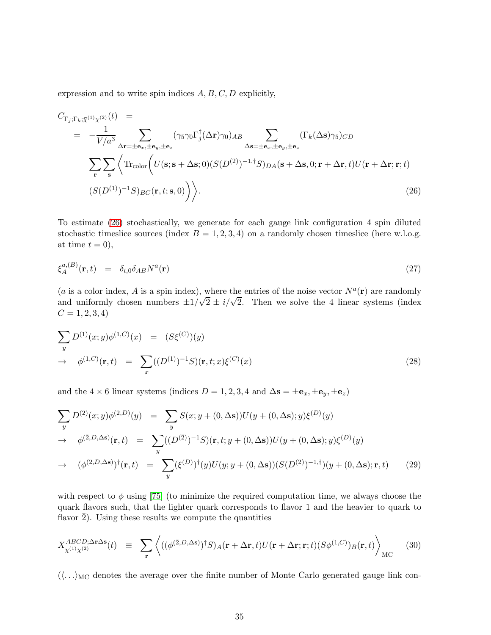expression and to write spin indices  $A, B, C, D$  explicitly,

<span id="page-35-1"></span>
$$
C_{\Gamma_j; \Gamma_k; \bar{\chi}^{(1)} \chi^{(2)}}(t) =
$$
\n
$$
= -\frac{1}{V/a^3} \sum_{\Delta \mathbf{r} = \pm \mathbf{e}_x, \pm \mathbf{e}_y, \pm \mathbf{e}_z} (\gamma_5 \gamma_0 \Gamma_j^{\dagger} (\Delta \mathbf{r}) \gamma_0)_{AB} \sum_{\Delta \mathbf{s} = \pm \mathbf{e}_x, \pm \mathbf{e}_y, \pm \mathbf{e}_z} (\Gamma_k(\Delta \mathbf{s}) \gamma_5)_{CD}
$$
\n
$$
\sum_{\mathbf{r}} \sum_{\mathbf{s}} \left\langle \text{Tr}_{\text{color}} \left( U(\mathbf{s}; \mathbf{s} + \Delta \mathbf{s}; 0) (S(D^{(2)})^{-1, \dagger} S)_{DA}(\mathbf{s} + \Delta \mathbf{s}, 0; \mathbf{r} + \Delta \mathbf{r}, t) U(\mathbf{r} + \Delta \mathbf{r}; \mathbf{r}; t) \right. \right. \tag{26}
$$

To estimate [\(26\)](#page-35-1) stochastically, we generate for each gauge link configuration 4 spin diluted stochastic timeslice sources (index  $B = 1, 2, 3, 4$ ) on a randomly chosen timeslice (here w.l.o.g. at time  $t = 0$ ,

<span id="page-35-0"></span>
$$
\xi_A^{a,(B)}(\mathbf{r},t) = \delta_{t,0} \delta_{AB} N^a(\mathbf{r}) \tag{27}
$$

(*a* is a color index, *A* is a spin index), where the entries of the noise vector  $N^a(\mathbf{r})$  are randomly and uniformly chosen numbers  $\pm 1/\sqrt{2} \pm i/\sqrt{2}$ . Then we solve the 4 linear systems (index  $C = 1, 2, 3, 4$ 

$$
\sum_{y} D^{(1)}(x; y) \phi^{(1,C)}(x) = (S\xi^{(C)})(y) \n\to \phi^{(1,C)}(\mathbf{r}, t) = \sum_{x} ((D^{(1)})^{-1}S)(\mathbf{r}, t; x) \xi^{(C)}(x)
$$
\n(28)

and the 4 × 6 linear systems (indices  $D = 1, 2, 3, 4$  and  $\Delta s = \pm \mathbf{e}_x, \pm \mathbf{e}_y, \pm \mathbf{e}_z$ )

$$
\sum_{y} D^{(\bar{2})}(x; y) \phi^{(\bar{2}, D)}(y) = \sum_{y} S(x; y + (0, \Delta s)) U(y + (0, \Delta s); y) \xi^{(D)}(y)
$$
  
\n
$$
\rightarrow \phi^{(\bar{2}, D, \Delta s)}(\mathbf{r}, t) = \sum_{y} ((D^{(\bar{2})})^{-1} S)(\mathbf{r}, t; y + (0, \Delta s)) U(y + (0, \Delta s); y) \xi^{(D)}(y)
$$
  
\n
$$
\rightarrow (\phi^{(\bar{2}, D, \Delta s)})^{\dagger}(\mathbf{r}, t) = \sum_{y} (\xi^{(D)})^{\dagger} (y) U(y; y + (0, \Delta s)) (S(D^{(\bar{2})})^{-1, \dagger}) (y + (0, \Delta s); \mathbf{r}, t)
$$
(29)

with respect to  $\phi$  using [\[75\]](#page-41-11) (to minimize the required computation time, we always choose the quark flavors such, that the lighter quark corresponds to flavor 1 and the heavier to quark to flavor  $2$ ). Using these results we compute the quantities

$$
X_{\bar{\chi}^{(1)}\chi^{(2)}}^{ABCD;\Delta\mathbf{r}\Delta\mathbf{s}}(t) \equiv \sum_{\mathbf{r}} \left\langle ((\phi^{(\bar{2},D,\Delta\mathbf{s})})^{\dagger}S)_{A}(\mathbf{r}+\Delta\mathbf{r},t)U(\mathbf{r}+\Delta\mathbf{r};\mathbf{r};t)(S\phi^{(1,C)})_{B}(\mathbf{r},t) \right\rangle_{MC} \tag{30}
$$

 $(\langle \ldots \rangle_{MC})$  denotes the average over the finite number of Monte Carlo generated gauge link con-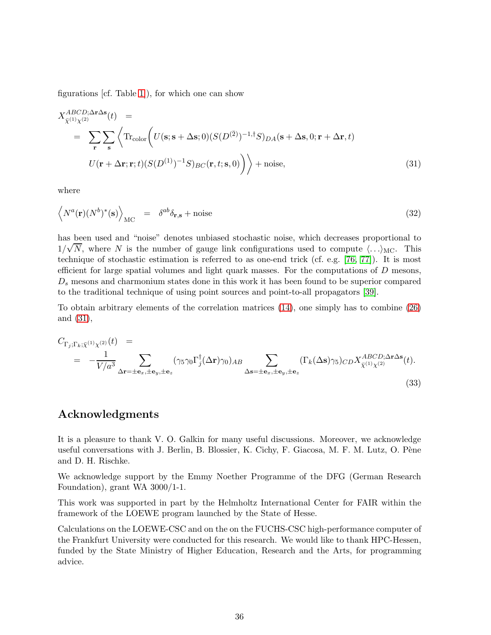figurations [cf. Table [1\]](#page-4-0)), for which one can show

<span id="page-36-0"></span>
$$
X_{\bar{\chi}^{(1)}\chi^{(2)}}^{ABCD;\Delta\mathbf{r}\Delta\mathbf{s}}(t) =
$$
  
\n
$$
= \sum_{\mathbf{r}} \sum_{\mathbf{s}} \left\langle \text{Tr}_{\text{color}} \left( U(\mathbf{s}; \mathbf{s} + \Delta\mathbf{s}; 0) (S(D^{(2)})^{-1,\dagger} S)_{DA}(\mathbf{s} + \Delta\mathbf{s}, 0; \mathbf{r} + \Delta\mathbf{r}, t) \right. \right.
$$
  
\n
$$
U(\mathbf{r} + \Delta\mathbf{r}; \mathbf{r}; t) (S(D^{(1)})^{-1} S)_{BC}(\mathbf{r}, t; \mathbf{s}, 0) \right) \Big\rangle + \text{noise}, \tag{31}
$$

where

$$
\left\langle N^a(\mathbf{r})(N^b)^*(\mathbf{s}) \right\rangle_{\text{MC}} = \delta^{ab}\delta_{\mathbf{r},\mathbf{s}} + \text{noise}
$$
\n(32)

has been used and "noise" denotes unbiased stochastic noise, which decreases proportional to  $1/\sqrt{N}$ , where N is the number of gauge link configurations used to compute  $\langle ... \rangle_{\text{MC}}$ . This technique of stochastic estimation is referred to as one-end trick (cf. e.g. [\[76,](#page-41-12) [77\]](#page-41-13)). It is most efficient for large spatial volumes and light quark masses. For the computations of  $D$  mesons,  $D<sub>s</sub>$  mesons and charmonium states done in this work it has been found to be superior compared to the traditional technique of using point sources and point-to-all propagators [\[39\]](#page-39-7).

To obtain arbitrary elements of the correlation matrices [\(14\)](#page-9-3), one simply has to combine [\(26\)](#page-35-1) and [\(31\)](#page-36-0),

$$
C_{\Gamma_j; \Gamma_k; \bar{\chi}^{(1)} \chi^{(2)}}(t) =
$$
  
=  $-\frac{1}{V/a^3} \sum_{\Delta \mathbf{r} = \pm \mathbf{e}_x, \pm \mathbf{e}_y, \pm \mathbf{e}_z} (\gamma_5 \gamma_0 \Gamma_j^{\dagger} (\Delta \mathbf{r}) \gamma_0)_{AB} \sum_{\Delta \mathbf{s} = \pm \mathbf{e}_x, \pm \mathbf{e}_y, \pm \mathbf{e}_z} (\Gamma_k(\Delta \mathbf{s}) \gamma_5)_{CD} X_{\bar{\chi}^{(1)} \chi^{(2)}}^{ABCD; \Delta \mathbf{r} \Delta \mathbf{s}}(t).$  (33)

### Acknowledgments

It is a pleasure to thank V. O. Galkin for many useful discussions. Moreover, we acknowledge useful conversations with J. Berlin, B. Blossier, K. Cichy, F. Giacosa, M. F. M. Lutz, O. Pène and D. H. Rischke.

We acknowledge support by the Emmy Noether Programme of the DFG (German Research Foundation), grant WA 3000/1-1.

This work was supported in part by the Helmholtz International Center for FAIR within the framework of the LOEWE program launched by the State of Hesse.

Calculations on the LOEWE-CSC and on the on the FUCHS-CSC high-performance computer of the Frankfurt University were conducted for this research. We would like to thank HPC-Hessen, funded by the State Ministry of Higher Education, Research and the Arts, for programming advice.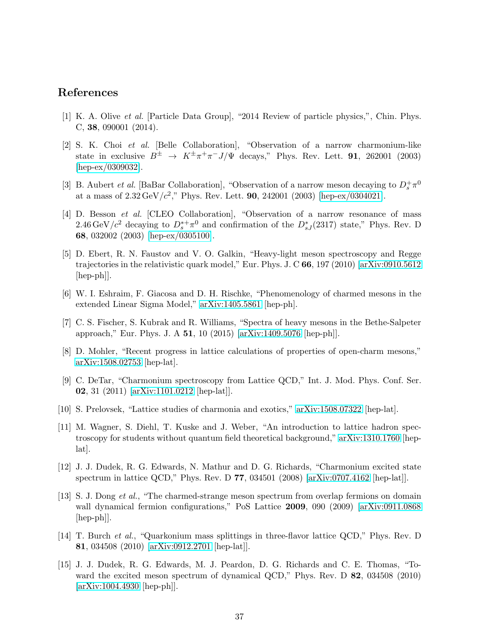# <span id="page-37-0"></span>References

- <span id="page-37-1"></span>[1] K. A. Olive et al. [Particle Data Group], "2014 Review of particle physics,", Chin. Phys. C, 38, 090001 (2014).
- [2] S. K. Choi et al. [Belle Collaboration], "Observation of a narrow charmonium-like state in exclusive  $B^{\pm} \rightarrow K^{\pm} \pi^{+} \pi^{-} J/\Psi$  decays," Phys. Rev. Lett. **91**, 262001 (2003) [\[hep-ex/0309032\]](http://arxiv.org/abs/hep-ex/0309032).
- <span id="page-37-2"></span>[3] B. Aubert *et al.* [BaBar Collaboration], "Observation of a narrow meson decaying to  $D_s^+\pi^0$ at a mass of  $2.32 \,\text{GeV}/c^2$ ," Phys. Rev. Lett. **90**, 242001 (2003) [\[hep-ex/0304021\]](http://arxiv.org/abs/hep-ex/0304021).
- <span id="page-37-3"></span>[4] D. Besson et al. [CLEO Collaboration], "Observation of a narrow resonance of mass 2.46 GeV/ $c^2$  decaying to  $D_s^{*+}\pi^0$  and confirmation of the  $D_{sJ}^{*}(2317)$  state," Phys. Rev. D 68, 032002 (2003) [\[hep-ex/0305100\]](http://arxiv.org/abs/hep-ex/0305100).
- <span id="page-37-4"></span>[5] D. Ebert, R. N. Faustov and V. O. Galkin, "Heavy-light meson spectroscopy and Regge trajectories in the relativistic quark model," Eur. Phys. J. C 66, 197 (2010) [\[arXiv:0910.5612](http://arxiv.org/abs/0910.5612) [hep-ph]].
- <span id="page-37-6"></span><span id="page-37-5"></span>[6] W. I. Eshraim, F. Giacosa and D. H. Rischke, "Phenomenology of charmed mesons in the extended Linear Sigma Model," [arXiv:1405.5861](http://arxiv.org/abs/1405.5861) [hep-ph].
- [7] C. S. Fischer, S. Kubrak and R. Williams, "Spectra of heavy mesons in the Bethe-Salpeter approach," Eur. Phys. J. A 51, 10 (2015) [\[arXiv:1409.5076](http://arxiv.org/abs/1409.5076) [hep-ph]].
- <span id="page-37-7"></span>[8] D. Mohler, "Recent progress in lattice calculations of properties of open-charm mesons," [arXiv:1508.02753](http://arxiv.org/abs/1508.02753) [hep-lat].
- <span id="page-37-8"></span>[9] C. DeTar, "Charmonium spectroscopy from Lattice QCD," Int. J. Mod. Phys. Conf. Ser. 02, 31 (2011) [\[arXiv:1101.0212](http://arxiv.org/abs/1101.0212) [hep-lat]].
- <span id="page-37-14"></span><span id="page-37-9"></span>[10] S. Prelovsek, "Lattice studies of charmonia and exotics," [arXiv:1508.07322](http://arxiv.org/abs/1508.07322) [hep-lat].
- [11] M. Wagner, S. Diehl, T. Kuske and J. Weber, "An introduction to lattice hadron spectroscopy for students without quantum field theoretical background," [arXiv:1310.1760](http://arxiv.org/abs/1310.1760) [heplat].
- <span id="page-37-10"></span>[12] J. J. Dudek, R. G. Edwards, N. Mathur and D. G. Richards, "Charmonium excited state spectrum in lattice QCD," Phys. Rev. D 77, 034501 (2008) [\[arXiv:0707.4162](http://arxiv.org/abs/0707.4162) [hep-lat]].
- <span id="page-37-11"></span>[13] S. J. Dong et al., "The charmed-strange meson spectrum from overlap fermions on domain wall dynamical fermion configurations," PoS Lattice 2009, 090 (2009) [\[arXiv:0911.0868](http://arxiv.org/abs/0911.0868) [hep-ph]].
- <span id="page-37-12"></span>[14] T. Burch et al., "Quarkonium mass splittings in three-flavor lattice QCD," Phys. Rev. D 81, 034508 (2010) [\[arXiv:0912.2701](http://arxiv.org/abs/0912.2701) [hep-lat]].
- <span id="page-37-13"></span>[15] J. J. Dudek, R. G. Edwards, M. J. Peardon, D. G. Richards and C. E. Thomas, "Toward the excited meson spectrum of dynamical QCD," Phys. Rev. D 82, 034508 (2010) [\[arXiv:1004.4930](http://arxiv.org/abs/1004.4930) [hep-ph]].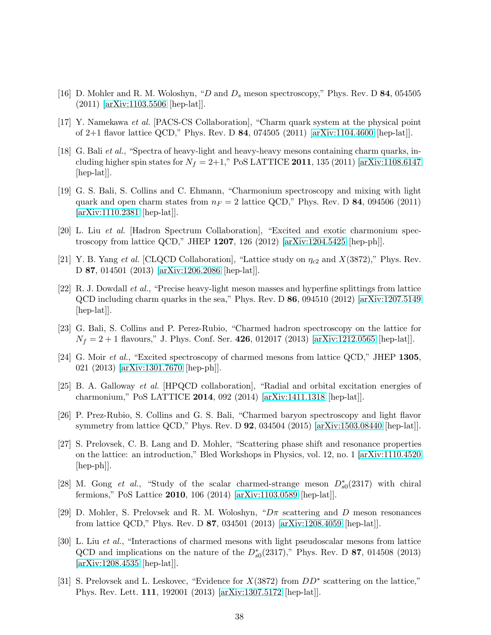- <span id="page-38-1"></span><span id="page-38-0"></span>[16] D. Mohler and R. M. Woloshyn, "D and  $D_s$  meson spectroscopy," Phys. Rev. D 84, 054505 (2011) [\[arXiv:1103.5506](http://arxiv.org/abs/1103.5506) [hep-lat]].
- <span id="page-38-2"></span>[17] Y. Namekawa et al. [PACS-CS Collaboration], "Charm quark system at the physical point of 2+1 flavor lattice QCD," Phys. Rev. D 84, 074505 (2011) [\[arXiv:1104.4600](http://arxiv.org/abs/1104.4600) [hep-lat]].
- [18] G. Bali et al., "Spectra of heavy-light and heavy-heavy mesons containing charm quarks, including higher spin states for  $N_f = 2+1$ ," PoS LATTICE 2011, 135 (2011) [\[arXiv:1108.6147](http://arxiv.org/abs/1108.6147) [hep-lat].
- <span id="page-38-3"></span>[19] G. S. Bali, S. Collins and C. Ehmann, "Charmonium spectroscopy and mixing with light quark and open charm states from  $n_F = 2$  lattice QCD," Phys. Rev. D 84, 094506 (2011) [\[arXiv:1110.2381](http://arxiv.org/abs/1110.2381) [hep-lat]].
- <span id="page-38-5"></span><span id="page-38-4"></span>[20] L. Liu et al. [Hadron Spectrum Collaboration], "Excited and exotic charmonium spectroscopy from lattice QCD," JHEP 1207, 126 (2012) [\[arXiv:1204.5425](http://arxiv.org/abs/1204.5425) [hep-ph]].
- <span id="page-38-6"></span>[21] Y. B. Yang et al. [CLQCD Collaboration], "Lattice study on  $\eta_{c2}$  and  $X(3872)$ ," Phys. Rev. D 87, 014501 (2013) [\[arXiv:1206.2086](http://arxiv.org/abs/1206.2086) [hep-lat]].
- [22] R. J. Dowdall et al., "Precise heavy-light meson masses and hyperfine splittings from lattice  $QCD$  including charm quarks in the sea," Phys. Rev. D 86, 094510 (2012) [\[arXiv:1207.5149](http://arxiv.org/abs/1207.5149)] [hep-lat].
- <span id="page-38-7"></span>[23] G. Bali, S. Collins and P. Perez-Rubio, "Charmed hadron spectroscopy on the lattice for  $N_f = 2 + 1$  flavours," J. Phys. Conf. Ser. 426, 012017 (2013) [\[arXiv:1212.0565](http://arxiv.org/abs/1212.0565) [hep-lat]].
- <span id="page-38-8"></span>[24] G. Moir et al., "Excited spectroscopy of charmed mesons from lattice QCD," JHEP 1305, 021 (2013) [\[arXiv:1301.7670](http://arxiv.org/abs/1301.7670) [hep-ph]].
- <span id="page-38-9"></span>[25] B. A. Galloway et al. [HPQCD collaboration], "Radial and orbital excitation energies of charmonium," PoS LATTICE 2014, 092 (2014) [\[arXiv:1411.1318](http://arxiv.org/abs/1411.1318) [hep-lat]].
- <span id="page-38-10"></span>[26] P. Prez-Rubio, S. Collins and G. S. Bali, "Charmed baryon spectroscopy and light flavor symmetry from lattice QCD," Phys. Rev. D 92, 034504 (2015) [\[arXiv:1503.08440](http://arxiv.org/abs/1503.08440) [hep-lat]].
- <span id="page-38-15"></span>[27] S. Prelovsek, C. B. Lang and D. Mohler, "Scattering phase shift and resonance properties on the lattice: an introduction," Bled Workshops in Physics, vol. 12, no. 1 [\[arXiv:1110.4520](http://arxiv.org/abs/1110.4520)  $\vert \text{hep-ph} \vert$ .
- <span id="page-38-11"></span>[28] M. Gong et al., "Study of the scalar charmed-strange meson  $D_{s0}^*(2317)$  with chiral fermions," PoS Lattice 2010, 106 (2014) [\[arXiv:1103.0589](http://arxiv.org/abs/1103.0589) [hep-lat]].
- <span id="page-38-12"></span>[29] D. Mohler, S. Prelovsek and R. M. Woloshyn, " $D\pi$  scattering and D meson resonances from lattice QCD," Phys. Rev. D 87, 034501 (2013) [\[arXiv:1208.4059](http://arxiv.org/abs/1208.4059) [hep-lat]].
- <span id="page-38-13"></span>[30] L. Liu et al., "Interactions of charmed mesons with light pseudoscalar mesons from lattice QCD and implications on the nature of the  $D_{s0}^*(2317)$ ," Phys. Rev. D 87, 014508 (2013) [\[arXiv:1208.4535](http://arxiv.org/abs/1208.4535) [hep-lat]].
- <span id="page-38-14"></span>[31] S. Prelovsek and L. Leskovec, "Evidence for  $X(3872)$  from  $DD^*$  scattering on the lattice," Phys. Rev. Lett. 111, 192001 (2013) [\[arXiv:1307.5172](http://arxiv.org/abs/1307.5172) [hep-lat]].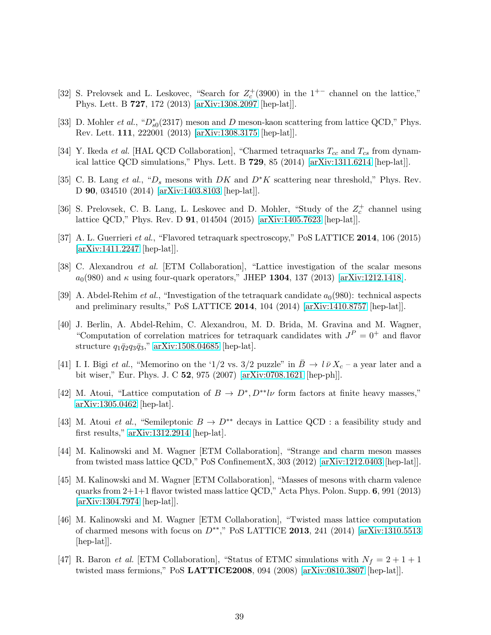- <span id="page-39-0"></span>[32] S. Prelovsek and L. Leskovec, "Search for  $Z_c^+(3900)$  in the 1<sup>+-</sup> channel on the lattice," Phys. Lett. B 727, 172 (2013) [\[arXiv:1308.2097](http://arxiv.org/abs/1308.2097) [hep-lat]].
- <span id="page-39-2"></span><span id="page-39-1"></span>[33] D. Mohler *et al.*, " $D_{s0}^*(2317)$  meson and D meson-kaon scattering from lattice QCD," Phys. Rev. Lett. 111, 222001 (2013) [\[arXiv:1308.3175](http://arxiv.org/abs/1308.3175) [hep-lat]].
- <span id="page-39-3"></span>[34] Y. Ikeda *et al.* [HAL QCD Collaboration], "Charmed tetraquarks  $T_{cc}$  and  $T_{cs}$  from dynamical lattice QCD simulations," Phys. Lett. B 729, 85 (2014) [\[arXiv:1311.6214](http://arxiv.org/abs/1311.6214) [hep-lat]].
- [35] C. B. Lang et al., " $D_s$  mesons with DK and  $D^*K$  scattering near threshold," Phys. Rev. D 90, 034510 (2014) [\[arXiv:1403.8103](http://arxiv.org/abs/1403.8103) [hep-lat]].
- <span id="page-39-4"></span>[36] S. Prelovsek, C. B. Lang, L. Leskovec and D. Mohler, "Study of the  $Z_c^+$  channel using lattice QCD," Phys. Rev. D 91, 014504 (2015) [\[arXiv:1405.7623](http://arxiv.org/abs/1405.7623) [hep-lat]].
- <span id="page-39-6"></span><span id="page-39-5"></span>[37] A. L. Guerrieri et al., "Flavored tetraquark spectroscopy," PoS LATTICE 2014, 106 (2015) [\[arXiv:1411.2247](http://arxiv.org/abs/1411.2247) [hep-lat]].
- <span id="page-39-7"></span>[38] C. Alexandrou et al. [ETM Collaboration], "Lattice investigation of the scalar mesons  $a_0(980)$  and  $\kappa$  using four-quark operators," JHEP 1304, 137 (2013) [\[arXiv:1212.1418\]](http://arxiv.org/abs/1212.1418).
- [39] A. Abdel-Rehim *et al.*, "Investigation of the tetraquark candidate  $a_0(980)$ : technical aspects and preliminary results," PoS LATTICE 2014, 104 (2014) [\[arXiv:1410.8757](http://arxiv.org/abs/1410.8757) [hep-lat]].
- <span id="page-39-8"></span>[40] J. Berlin, A. Abdel-Rehim, C. Alexandrou, M. D. Brida, M. Gravina and M. Wagner, "Computation of correlation matrices for tetraquark candidates with  $J<sup>P</sup> = 0<sup>+</sup>$  and flavor structure  $q_1\bar{q}_2q_3\bar{q}_3$ ," [arXiv:1508.04685](http://arxiv.org/abs/1508.04685) [hep-lat].
- <span id="page-39-9"></span>[41] I. I. Bigi et al., "Memorino on the '1/2 vs. 3/2 puzzle" in  $\bar{B} \to l \bar{\nu} X_c$  – a year later and a bit wiser," Eur. Phys. J. C 52, 975 (2007) [\[arXiv:0708.1621](http://arxiv.org/abs/0708.1621) [hep-ph]].
- <span id="page-39-10"></span>[42] M. Atoui, "Lattice computation of  $B \to D^*, D^{**}l\nu$  form factors at finite heavy masses," [arXiv:1305.0462](http://arxiv.org/abs/1305.0462) [hep-lat].
- <span id="page-39-11"></span>[43] M. Atoui et al., "Semileptonic  $B \to D^{**}$  decays in Lattice QCD : a feasibility study and first results," [arXiv:1312.2914](http://arxiv.org/abs/1312.2914) [hep-lat].
- <span id="page-39-12"></span>[44] M. Kalinowski and M. Wagner [ETM Collaboration], "Strange and charm meson masses from twisted mass lattice QCD," PoS ConfinementX, 303 (2012) [\[arXiv:1212.0403](http://arxiv.org/abs/1212.0403) [hep-lat]].
- <span id="page-39-13"></span>[45] M. Kalinowski and M. Wagner [ETM Collaboration], "Masses of mesons with charm valence quarks from  $2+1+1$  flavor twisted mass lattice QCD," Acta Phys. Polon. Supp. 6, 991 (2013) [\[arXiv:1304.7974](http://arxiv.org/abs/1304.7974) [hep-lat]].
- <span id="page-39-14"></span>[46] M. Kalinowski and M. Wagner [ETM Collaboration], "Twisted mass lattice computation of charmed mesons with focus on  $D^{**}$ ," PoS LATTICE 2013, 241 (2014) [\[arXiv:1310.5513](http://arxiv.org/abs/1310.5513) [hep-lat].
- <span id="page-39-15"></span>[47] R. Baron *et al.* [ETM Collaboration], "Status of ETMC simulations with  $N_f = 2 + 1 + 1$ twisted mass fermions," PoS LATTICE2008, 094 (2008) [\[arXiv:0810.3807](http://arxiv.org/abs/0810.3807) [hep-lat]].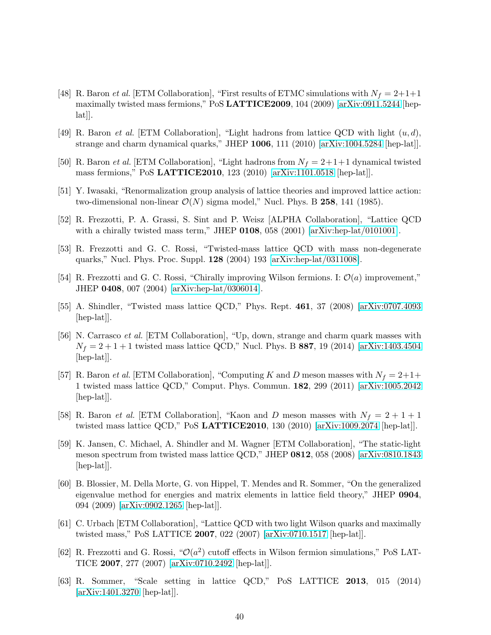- <span id="page-40-0"></span>[48] R. Baron *et al.* [ETM Collaboration], "First results of ETMC simulations with  $N_f = 2+1+1$ maximally twisted mass fermions," PoS LATTICE2009, 104 (2009) [\[arXiv:0911.5244](http://arxiv.org/abs/0911.5244) [hep- $[lat]$ .
- <span id="page-40-2"></span><span id="page-40-1"></span>[49] R. Baron *et al.* [ETM Collaboration], "Light hadrons from lattice QCD with light  $(u, d)$ , strange and charm dynamical quarks," JHEP 1006, 111 (2010) [\[arXiv:1004.5284](http://arxiv.org/abs/1004.5284) [hep-lat]].
- <span id="page-40-3"></span>[50] R. Baron *et al.* [ETM Collaboration], "Light hadrons from  $N_f = 2+1+1$  dynamical twisted mass fermions," PoS LATTICE2010, 123 (2010) [\[arXiv:1101.0518](http://arxiv.org/abs/1101.0518) [hep-lat]].
- <span id="page-40-4"></span>[51] Y. Iwasaki, "Renormalization group analysis of lattice theories and improved lattice action: two-dimensional non-linear  $\mathcal{O}(N)$  sigma model," Nucl. Phys. B 258, 141 (1985).
- [52] R. Frezzotti, P. A. Grassi, S. Sint and P. Weisz [ALPHA Collaboration], "Lattice QCD with a chirally twisted mass term," JHEP  $0108$ , 058 (2001) [\[arXiv:hep-lat/0101001\]](http://arxiv.org/abs/hep-lat/0101001).
- <span id="page-40-5"></span>[53] R. Frezzotti and G. C. Rossi, "Twisted-mass lattice QCD with mass non-degenerate quarks," Nucl. Phys. Proc. Suppl. 128 (2004) 193 [\[arXiv:hep-lat/0311008\]](http://arxiv.org/abs/hep-lat/0311008).
- <span id="page-40-6"></span>[54] R. Frezzotti and G. C. Rossi, "Chirally improving Wilson fermions. I:  $\mathcal{O}(a)$  improvement," JHEP 0408, 007 (2004) [\[arXiv:hep-lat/0306014\]](http://arxiv.org/abs/hep-lat/0306014).
- <span id="page-40-7"></span>[55] A. Shindler, "Twisted mass lattice QCD," Phys. Rept. 461, 37 (2008) [\[arXiv:0707.4093](http://arxiv.org/abs/0707.4093) [hep-lat].
- <span id="page-40-8"></span>[56] N. Carrasco et al. [ETM Collaboration], "Up, down, strange and charm quark masses with  $N_f = 2 + 1 + 1$  twisted mass lattice QCD," Nucl. Phys. B 887, 19 (2014) [\[arXiv:1403.4504](http://arxiv.org/abs/1403.4504) [hep-lat].
- <span id="page-40-9"></span>[57] R. Baron *et al.* [ETM Collaboration], "Computing K and D meson masses with  $N_f = 2+1+$ 1 twisted mass lattice QCD," Comput. Phys. Commun. 182, 299 (2011) [\[arXiv:1005.2042](http://arxiv.org/abs/1005.2042) [hep-lat].
- <span id="page-40-10"></span>[58] R. Baron *et al.* [ETM Collaboration], "Kaon and D meson masses with  $N_f = 2 + 1 + 1$ twisted mass lattice QCD," PoS LATTICE2010, 130 (2010) [\[arXiv:1009.2074](http://arxiv.org/abs/1009.2074) [hep-lat]].
- <span id="page-40-11"></span>[59] K. Jansen, C. Michael, A. Shindler and M. Wagner [ETM Collaboration], "The static-light meson spectrum from twisted mass lattice QCD," JHEP 0812, 058 (2008) [\[arXiv:0810.1843](http://arxiv.org/abs/0810.1843)  $\vert \text{hep-lat} \vert$ .
- <span id="page-40-12"></span>[60] B. Blossier, M. Della Morte, G. von Hippel, T. Mendes and R. Sommer, "On the generalized eigenvalue method for energies and matrix elements in lattice field theory," JHEP 0904, 094 (2009) [\[arXiv:0902.1265](http://arxiv.org/abs/0902.1265) [hep-lat]].
- <span id="page-40-13"></span>[61] C. Urbach [ETM Collaboration], "Lattice QCD with two light Wilson quarks and maximally twisted mass," PoS LATTICE 2007, 022 (2007) [\[arXiv:0710.1517](http://arxiv.org/abs/0710.1517) [hep-lat]].
- <span id="page-40-14"></span>[62] R. Frezzotti and G. Rossi, " $\mathcal{O}(a^2)$  cutoff effects in Wilson fermion simulations," PoS LAT-TICE 2007, 277 (2007) [\[arXiv:0710.2492](http://arxiv.org/abs/0710.2492) [hep-lat]].
- <span id="page-40-15"></span>[63] R. Sommer, "Scale setting in lattice QCD," PoS LATTICE 2013, 015 (2014) [\[arXiv:1401.3270](http://arxiv.org/abs/1401.3270) [hep-lat]].